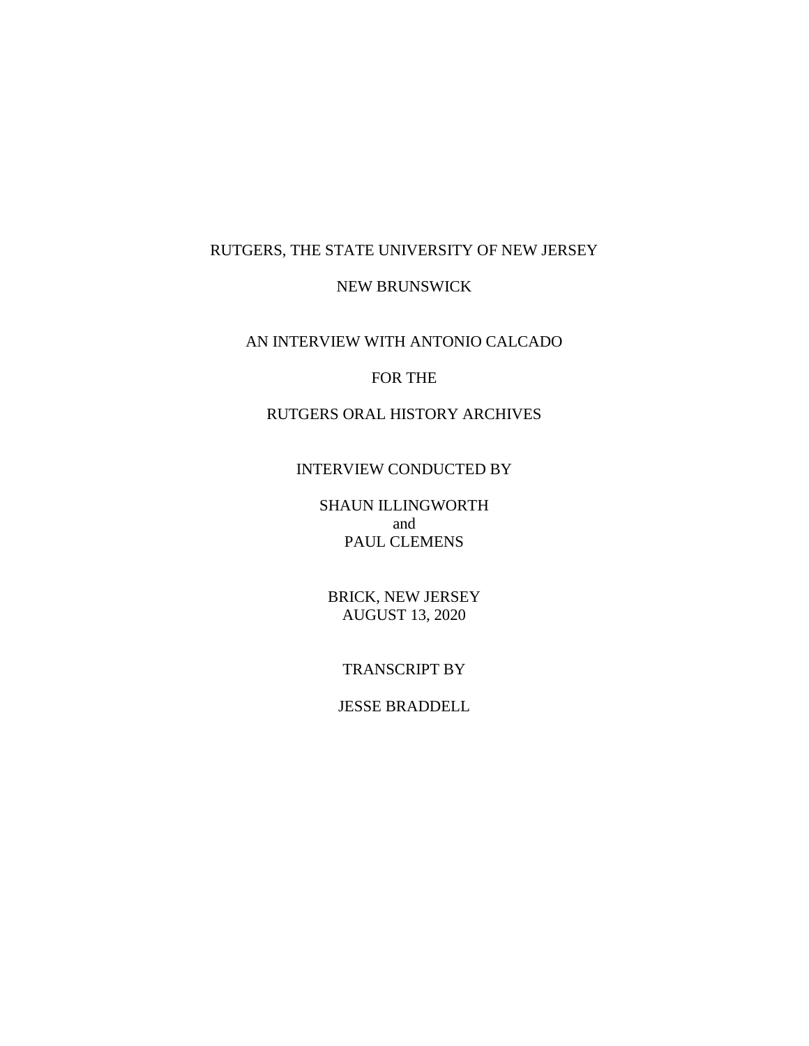# RUTGERS, THE STATE UNIVERSITY OF NEW JERSEY

## NEW BRUNSWICK

## AN INTERVIEW WITH ANTONIO CALCADO

### FOR THE

## RUTGERS ORAL HISTORY ARCHIVES

#### INTERVIEW CONDUCTED BY

SHAUN ILLINGWORTH and PAUL CLEMENS

BRICK, NEW JERSEY AUGUST 13, 2020

## TRANSCRIPT BY

## JESSE BRADDELL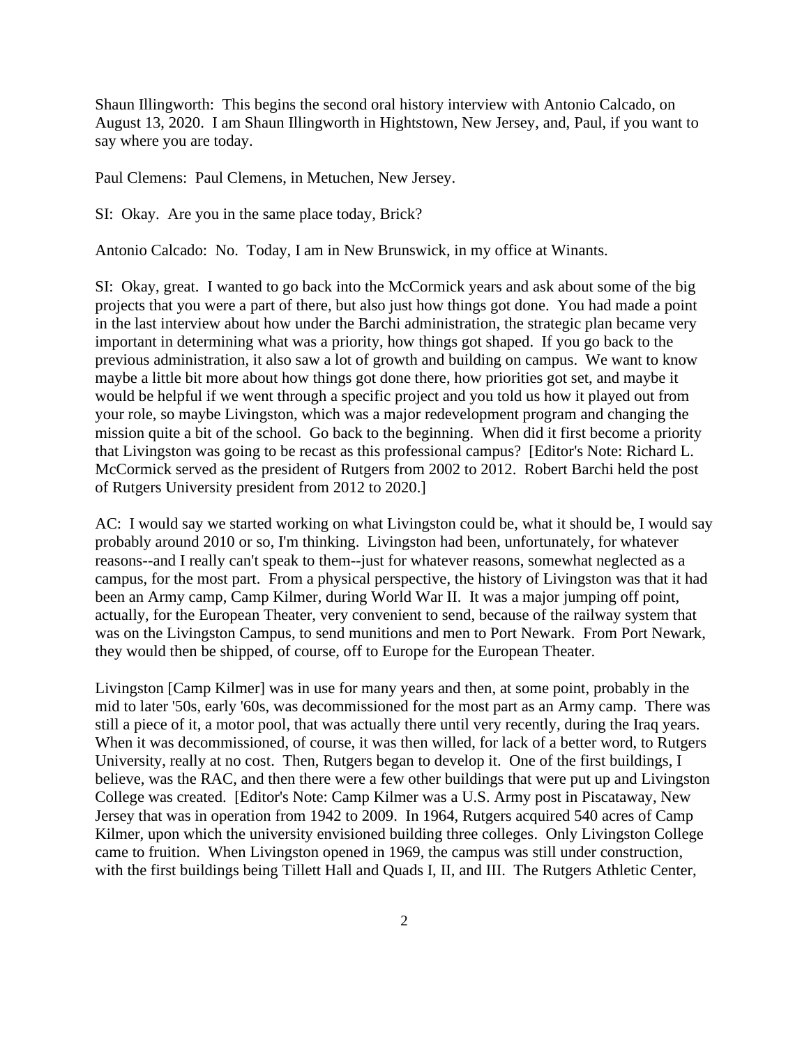Shaun Illingworth: This begins the second oral history interview with Antonio Calcado, on August 13, 2020. I am Shaun Illingworth in Hightstown, New Jersey, and, Paul, if you want to say where you are today.

Paul Clemens: Paul Clemens, in Metuchen, New Jersey.

SI: Okay. Are you in the same place today, Brick?

Antonio Calcado: No. Today, I am in New Brunswick, in my office at Winants.

SI: Okay, great. I wanted to go back into the McCormick years and ask about some of the big projects that you were a part of there, but also just how things got done. You had made a point in the last interview about how under the Barchi administration, the strategic plan became very important in determining what was a priority, how things got shaped. If you go back to the previous administration, it also saw a lot of growth and building on campus. We want to know maybe a little bit more about how things got done there, how priorities got set, and maybe it would be helpful if we went through a specific project and you told us how it played out from your role, so maybe Livingston, which was a major redevelopment program and changing the mission quite a bit of the school. Go back to the beginning. When did it first become a priority that Livingston was going to be recast as this professional campus? [Editor's Note: Richard L. McCormick served as the president of Rutgers from 2002 to 2012. Robert Barchi held the post of Rutgers University president from 2012 to 2020.]

AC: I would say we started working on what Livingston could be, what it should be, I would say probably around 2010 or so, I'm thinking. Livingston had been, unfortunately, for whatever reasons--and I really can't speak to them--just for whatever reasons, somewhat neglected as a campus, for the most part. From a physical perspective, the history of Livingston was that it had been an Army camp, Camp Kilmer, during World War II. It was a major jumping off point, actually, for the European Theater, very convenient to send, because of the railway system that was on the Livingston Campus, to send munitions and men to Port Newark. From Port Newark, they would then be shipped, of course, off to Europe for the European Theater.

Livingston [Camp Kilmer] was in use for many years and then, at some point, probably in the mid to later '50s, early '60s, was decommissioned for the most part as an Army camp. There was still a piece of it, a motor pool, that was actually there until very recently, during the Iraq years. When it was decommissioned, of course, it was then willed, for lack of a better word, to Rutgers University, really at no cost. Then, Rutgers began to develop it. One of the first buildings, I believe, was the RAC, and then there were a few other buildings that were put up and Livingston College was created. [Editor's Note: Camp Kilmer was a U.S. Army post in Piscataway, New Jersey that was in operation from 1942 to 2009. In 1964, Rutgers acquired 540 acres of Camp Kilmer, upon which the university envisioned building three colleges. Only Livingston College came to fruition. When Livingston opened in 1969, the campus was still under construction, with the first buildings being Tillett Hall and Quads I, II, and III. The Rutgers Athletic Center,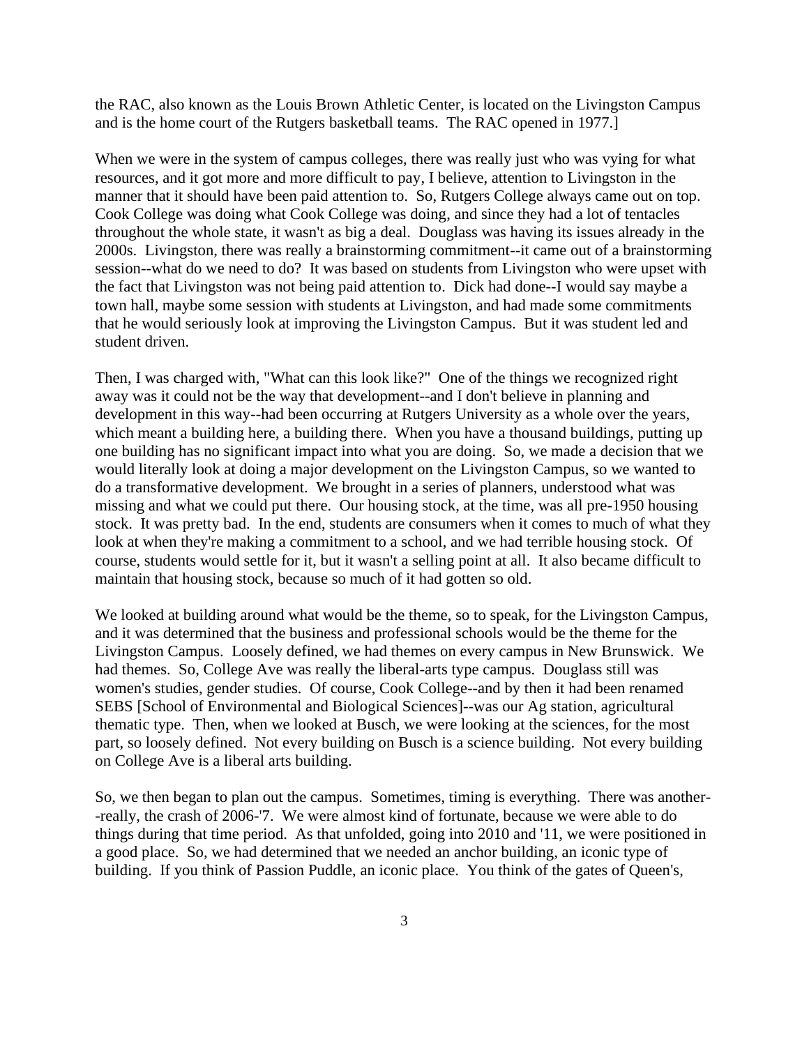the RAC, also known as the Louis Brown Athletic Center, is located on the Livingston Campus and is the home court of the Rutgers basketball teams. The RAC opened in 1977.]

When we were in the system of campus colleges, there was really just who was vying for what resources, and it got more and more difficult to pay, I believe, attention to Livingston in the manner that it should have been paid attention to. So, Rutgers College always came out on top. Cook College was doing what Cook College was doing, and since they had a lot of tentacles throughout the whole state, it wasn't as big a deal. Douglass was having its issues already in the 2000s. Livingston, there was really a brainstorming commitment--it came out of a brainstorming session--what do we need to do? It was based on students from Livingston who were upset with the fact that Livingston was not being paid attention to. Dick had done--I would say maybe a town hall, maybe some session with students at Livingston, and had made some commitments that he would seriously look at improving the Livingston Campus. But it was student led and student driven.

Then, I was charged with, "What can this look like?" One of the things we recognized right away was it could not be the way that development--and I don't believe in planning and development in this way--had been occurring at Rutgers University as a whole over the years, which meant a building here, a building there. When you have a thousand buildings, putting up one building has no significant impact into what you are doing. So, we made a decision that we would literally look at doing a major development on the Livingston Campus, so we wanted to do a transformative development. We brought in a series of planners, understood what was missing and what we could put there. Our housing stock, at the time, was all pre-1950 housing stock. It was pretty bad. In the end, students are consumers when it comes to much of what they look at when they're making a commitment to a school, and we had terrible housing stock. Of course, students would settle for it, but it wasn't a selling point at all. It also became difficult to maintain that housing stock, because so much of it had gotten so old.

We looked at building around what would be the theme, so to speak, for the Livingston Campus, and it was determined that the business and professional schools would be the theme for the Livingston Campus. Loosely defined, we had themes on every campus in New Brunswick. We had themes. So, College Ave was really the liberal-arts type campus. Douglass still was women's studies, gender studies. Of course, Cook College--and by then it had been renamed SEBS [School of Environmental and Biological Sciences]--was our Ag station, agricultural thematic type. Then, when we looked at Busch, we were looking at the sciences, for the most part, so loosely defined. Not every building on Busch is a science building. Not every building on College Ave is a liberal arts building.

So, we then began to plan out the campus. Sometimes, timing is everything. There was another- -really, the crash of 2006-'7. We were almost kind of fortunate, because we were able to do things during that time period. As that unfolded, going into 2010 and '11, we were positioned in a good place. So, we had determined that we needed an anchor building, an iconic type of building. If you think of Passion Puddle, an iconic place. You think of the gates of Queen's,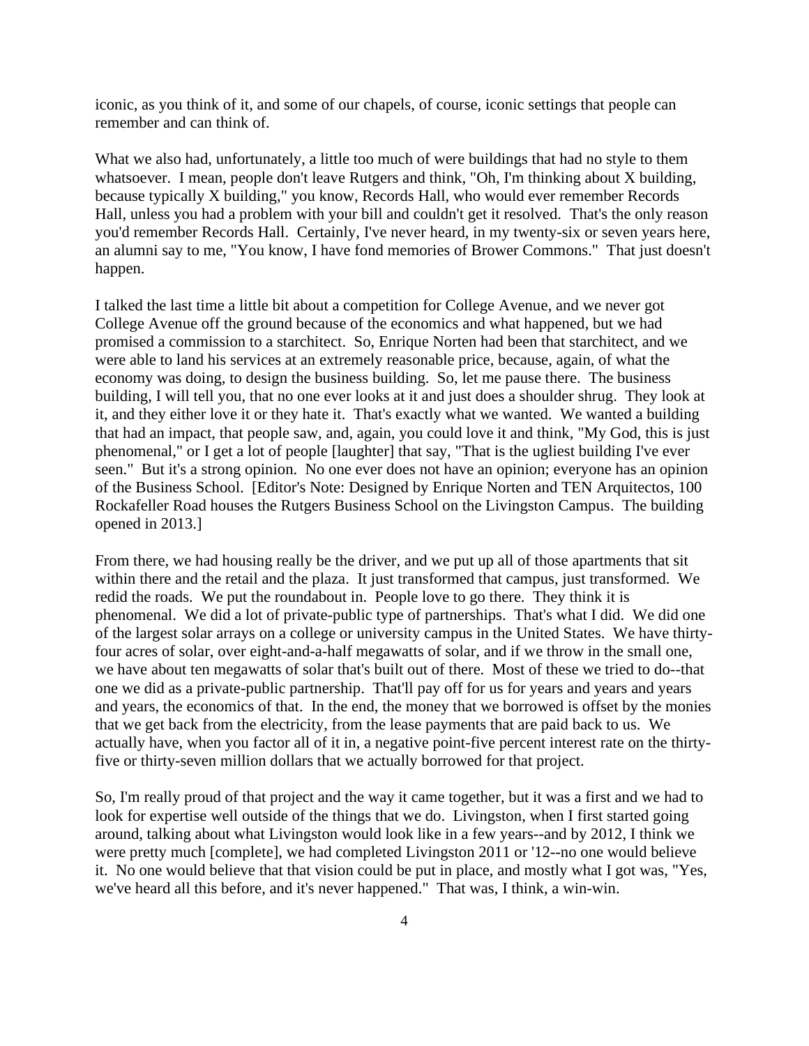iconic, as you think of it, and some of our chapels, of course, iconic settings that people can remember and can think of.

What we also had, unfortunately, a little too much of were buildings that had no style to them whatsoever. I mean, people don't leave Rutgers and think, "Oh, I'm thinking about X building, because typically X building," you know, Records Hall, who would ever remember Records Hall, unless you had a problem with your bill and couldn't get it resolved. That's the only reason you'd remember Records Hall. Certainly, I've never heard, in my twenty-six or seven years here, an alumni say to me, "You know, I have fond memories of Brower Commons." That just doesn't happen.

I talked the last time a little bit about a competition for College Avenue, and we never got College Avenue off the ground because of the economics and what happened, but we had promised a commission to a starchitect. So, Enrique Norten had been that starchitect, and we were able to land his services at an extremely reasonable price, because, again, of what the economy was doing, to design the business building. So, let me pause there. The business building, I will tell you, that no one ever looks at it and just does a shoulder shrug. They look at it, and they either love it or they hate it. That's exactly what we wanted. We wanted a building that had an impact, that people saw, and, again, you could love it and think, "My God, this is just phenomenal," or I get a lot of people [laughter] that say, "That is the ugliest building I've ever seen." But it's a strong opinion. No one ever does not have an opinion; everyone has an opinion of the Business School. [Editor's Note: Designed by Enrique Norten and TEN Arquitectos, 100 Rockafeller Road houses the Rutgers Business School on the Livingston Campus. The building opened in 2013.]

From there, we had housing really be the driver, and we put up all of those apartments that sit within there and the retail and the plaza. It just transformed that campus, just transformed. We redid the roads. We put the roundabout in. People love to go there. They think it is phenomenal. We did a lot of private-public type of partnerships. That's what I did. We did one of the largest solar arrays on a college or university campus in the United States. We have thirtyfour acres of solar, over eight-and-a-half megawatts of solar, and if we throw in the small one, we have about ten megawatts of solar that's built out of there. Most of these we tried to do--that one we did as a private-public partnership. That'll pay off for us for years and years and years and years, the economics of that. In the end, the money that we borrowed is offset by the monies that we get back from the electricity, from the lease payments that are paid back to us. We actually have, when you factor all of it in, a negative point-five percent interest rate on the thirtyfive or thirty-seven million dollars that we actually borrowed for that project.

So, I'm really proud of that project and the way it came together, but it was a first and we had to look for expertise well outside of the things that we do. Livingston, when I first started going around, talking about what Livingston would look like in a few years--and by 2012, I think we were pretty much [complete], we had completed Livingston 2011 or '12--no one would believe it. No one would believe that that vision could be put in place, and mostly what I got was, "Yes, we've heard all this before, and it's never happened." That was, I think, a win-win.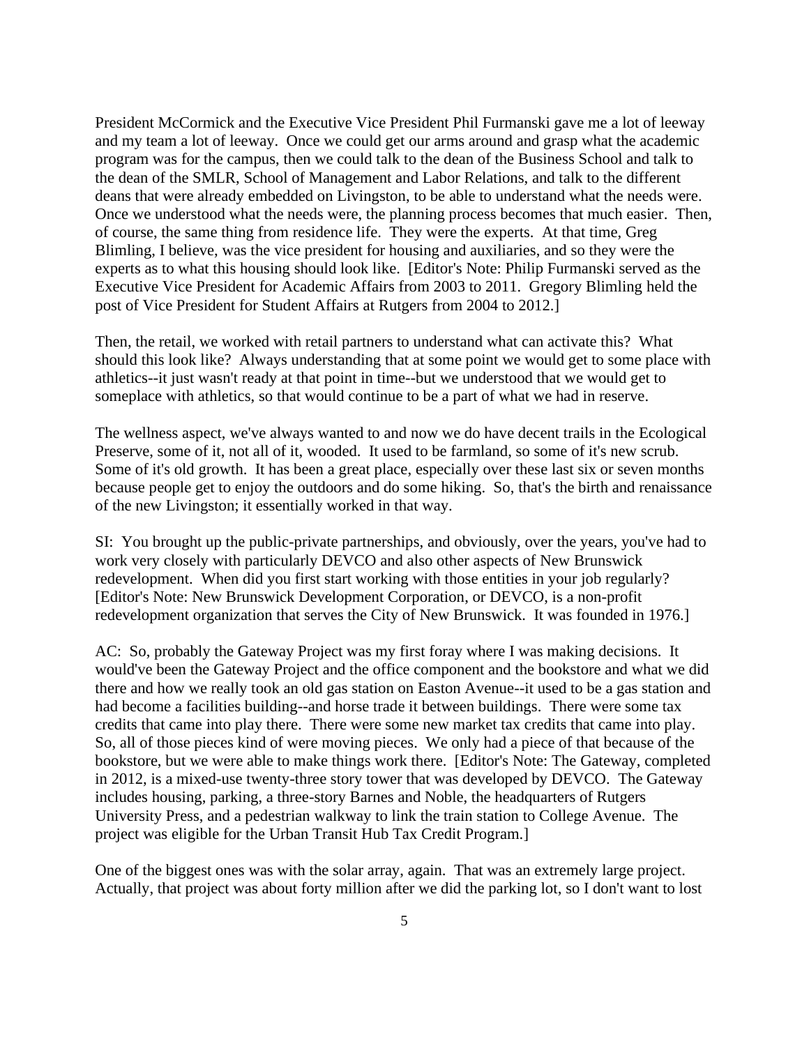President McCormick and the Executive Vice President Phil Furmanski gave me a lot of leeway and my team a lot of leeway. Once we could get our arms around and grasp what the academic program was for the campus, then we could talk to the dean of the Business School and talk to the dean of the SMLR, School of Management and Labor Relations, and talk to the different deans that were already embedded on Livingston, to be able to understand what the needs were. Once we understood what the needs were, the planning process becomes that much easier. Then, of course, the same thing from residence life. They were the experts. At that time, Greg Blimling, I believe, was the vice president for housing and auxiliaries, and so they were the experts as to what this housing should look like. [Editor's Note: Philip Furmanski served as the Executive Vice President for Academic Affairs from 2003 to 2011. Gregory Blimling held the post of Vice President for Student Affairs at Rutgers from 2004 to 2012.]

Then, the retail, we worked with retail partners to understand what can activate this? What should this look like? Always understanding that at some point we would get to some place with athletics--it just wasn't ready at that point in time--but we understood that we would get to someplace with athletics, so that would continue to be a part of what we had in reserve.

The wellness aspect, we've always wanted to and now we do have decent trails in the Ecological Preserve, some of it, not all of it, wooded. It used to be farmland, so some of it's new scrub. Some of it's old growth. It has been a great place, especially over these last six or seven months because people get to enjoy the outdoors and do some hiking. So, that's the birth and renaissance of the new Livingston; it essentially worked in that way.

SI: You brought up the public-private partnerships, and obviously, over the years, you've had to work very closely with particularly DEVCO and also other aspects of New Brunswick redevelopment. When did you first start working with those entities in your job regularly? [Editor's Note: New Brunswick Development Corporation, or DEVCO, is a non-profit redevelopment organization that serves the City of New Brunswick. It was founded in 1976.]

AC: So, probably the Gateway Project was my first foray where I was making decisions. It would've been the Gateway Project and the office component and the bookstore and what we did there and how we really took an old gas station on Easton Avenue--it used to be a gas station and had become a facilities building--and horse trade it between buildings. There were some tax credits that came into play there. There were some new market tax credits that came into play. So, all of those pieces kind of were moving pieces. We only had a piece of that because of the bookstore, but we were able to make things work there. [Editor's Note: The Gateway, completed in 2012, is a mixed-use twenty-three story tower that was developed by DEVCO. The Gateway includes housing, parking, a three-story Barnes and Noble, the headquarters of Rutgers University Press, and a pedestrian walkway to link the train station to College Avenue. The project was eligible for the Urban Transit Hub Tax Credit Program.]

One of the biggest ones was with the solar array, again. That was an extremely large project. Actually, that project was about forty million after we did the parking lot, so I don't want to lost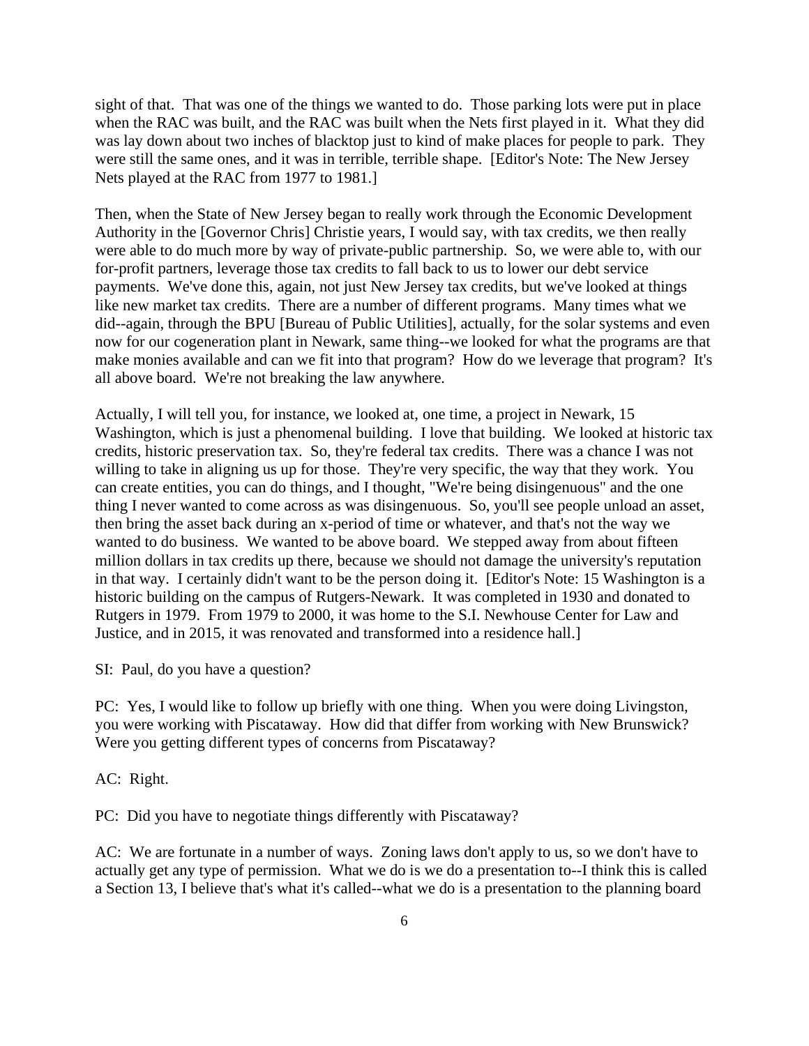sight of that. That was one of the things we wanted to do. Those parking lots were put in place when the RAC was built, and the RAC was built when the Nets first played in it. What they did was lay down about two inches of blacktop just to kind of make places for people to park. They were still the same ones, and it was in terrible, terrible shape. [Editor's Note: The New Jersey Nets played at the RAC from 1977 to 1981.]

Then, when the State of New Jersey began to really work through the Economic Development Authority in the [Governor Chris] Christie years, I would say, with tax credits, we then really were able to do much more by way of private-public partnership. So, we were able to, with our for-profit partners, leverage those tax credits to fall back to us to lower our debt service payments. We've done this, again, not just New Jersey tax credits, but we've looked at things like new market tax credits. There are a number of different programs. Many times what we did--again, through the BPU [Bureau of Public Utilities], actually, for the solar systems and even now for our cogeneration plant in Newark, same thing--we looked for what the programs are that make monies available and can we fit into that program? How do we leverage that program? It's all above board. We're not breaking the law anywhere.

Actually, I will tell you, for instance, we looked at, one time, a project in Newark, 15 Washington, which is just a phenomenal building. I love that building. We looked at historic tax credits, historic preservation tax. So, they're federal tax credits. There was a chance I was not willing to take in aligning us up for those. They're very specific, the way that they work. You can create entities, you can do things, and I thought, "We're being disingenuous" and the one thing I never wanted to come across as was disingenuous. So, you'll see people unload an asset, then bring the asset back during an x-period of time or whatever, and that's not the way we wanted to do business. We wanted to be above board. We stepped away from about fifteen million dollars in tax credits up there, because we should not damage the university's reputation in that way. I certainly didn't want to be the person doing it. [Editor's Note: 15 Washington is a historic building on the campus of Rutgers-Newark. It was completed in 1930 and donated to Rutgers in 1979. From 1979 to 2000, it was home to the S.I. Newhouse Center for Law and Justice, and in 2015, it was renovated and transformed into a residence hall.]

SI: Paul, do you have a question?

PC: Yes, I would like to follow up briefly with one thing. When you were doing Livingston, you were working with Piscataway. How did that differ from working with New Brunswick? Were you getting different types of concerns from Piscataway?

AC: Right.

PC: Did you have to negotiate things differently with Piscataway?

AC: We are fortunate in a number of ways. Zoning laws don't apply to us, so we don't have to actually get any type of permission. What we do is we do a presentation to--I think this is called a Section 13, I believe that's what it's called--what we do is a presentation to the planning board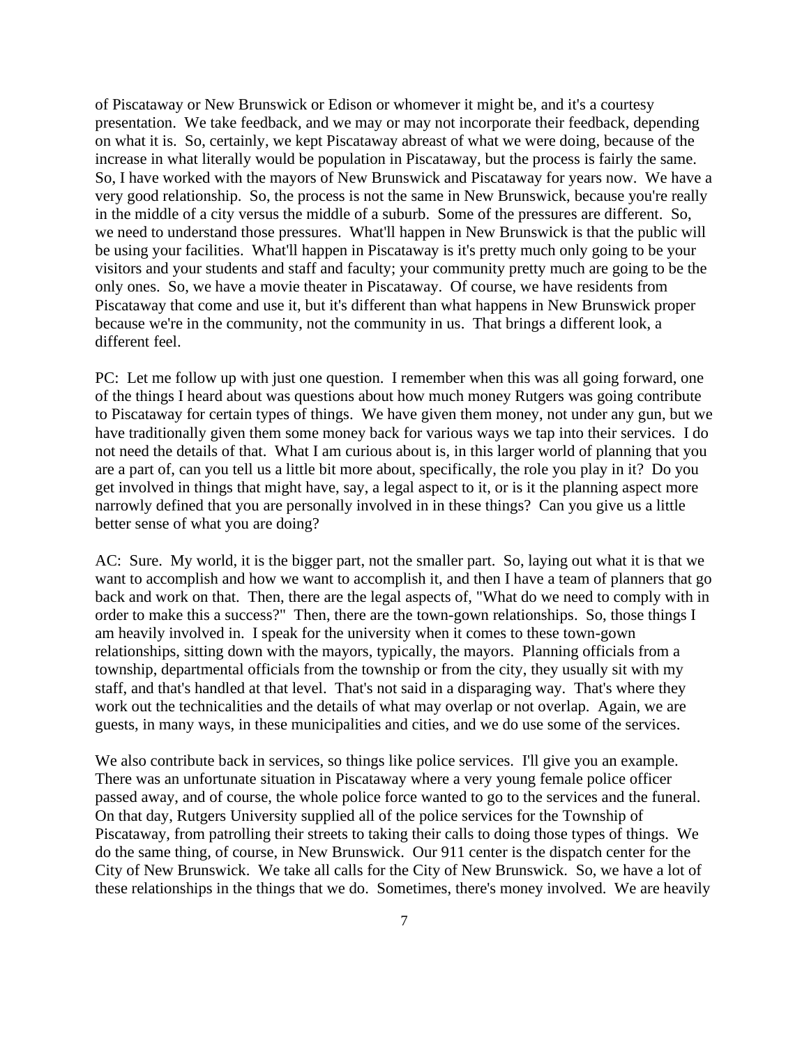of Piscataway or New Brunswick or Edison or whomever it might be, and it's a courtesy presentation. We take feedback, and we may or may not incorporate their feedback, depending on what it is. So, certainly, we kept Piscataway abreast of what we were doing, because of the increase in what literally would be population in Piscataway, but the process is fairly the same. So, I have worked with the mayors of New Brunswick and Piscataway for years now. We have a very good relationship. So, the process is not the same in New Brunswick, because you're really in the middle of a city versus the middle of a suburb. Some of the pressures are different. So, we need to understand those pressures. What'll happen in New Brunswick is that the public will be using your facilities. What'll happen in Piscataway is it's pretty much only going to be your visitors and your students and staff and faculty; your community pretty much are going to be the only ones. So, we have a movie theater in Piscataway. Of course, we have residents from Piscataway that come and use it, but it's different than what happens in New Brunswick proper because we're in the community, not the community in us. That brings a different look, a different feel.

PC: Let me follow up with just one question. I remember when this was all going forward, one of the things I heard about was questions about how much money Rutgers was going contribute to Piscataway for certain types of things. We have given them money, not under any gun, but we have traditionally given them some money back for various ways we tap into their services. I do not need the details of that. What I am curious about is, in this larger world of planning that you are a part of, can you tell us a little bit more about, specifically, the role you play in it? Do you get involved in things that might have, say, a legal aspect to it, or is it the planning aspect more narrowly defined that you are personally involved in in these things? Can you give us a little better sense of what you are doing?

AC: Sure. My world, it is the bigger part, not the smaller part. So, laying out what it is that we want to accomplish and how we want to accomplish it, and then I have a team of planners that go back and work on that. Then, there are the legal aspects of, "What do we need to comply with in order to make this a success?" Then, there are the town-gown relationships. So, those things I am heavily involved in. I speak for the university when it comes to these town-gown relationships, sitting down with the mayors, typically, the mayors. Planning officials from a township, departmental officials from the township or from the city, they usually sit with my staff, and that's handled at that level. That's not said in a disparaging way. That's where they work out the technicalities and the details of what may overlap or not overlap. Again, we are guests, in many ways, in these municipalities and cities, and we do use some of the services.

We also contribute back in services, so things like police services. I'll give you an example. There was an unfortunate situation in Piscataway where a very young female police officer passed away, and of course, the whole police force wanted to go to the services and the funeral. On that day, Rutgers University supplied all of the police services for the Township of Piscataway, from patrolling their streets to taking their calls to doing those types of things. We do the same thing, of course, in New Brunswick. Our 911 center is the dispatch center for the City of New Brunswick. We take all calls for the City of New Brunswick. So, we have a lot of these relationships in the things that we do. Sometimes, there's money involved. We are heavily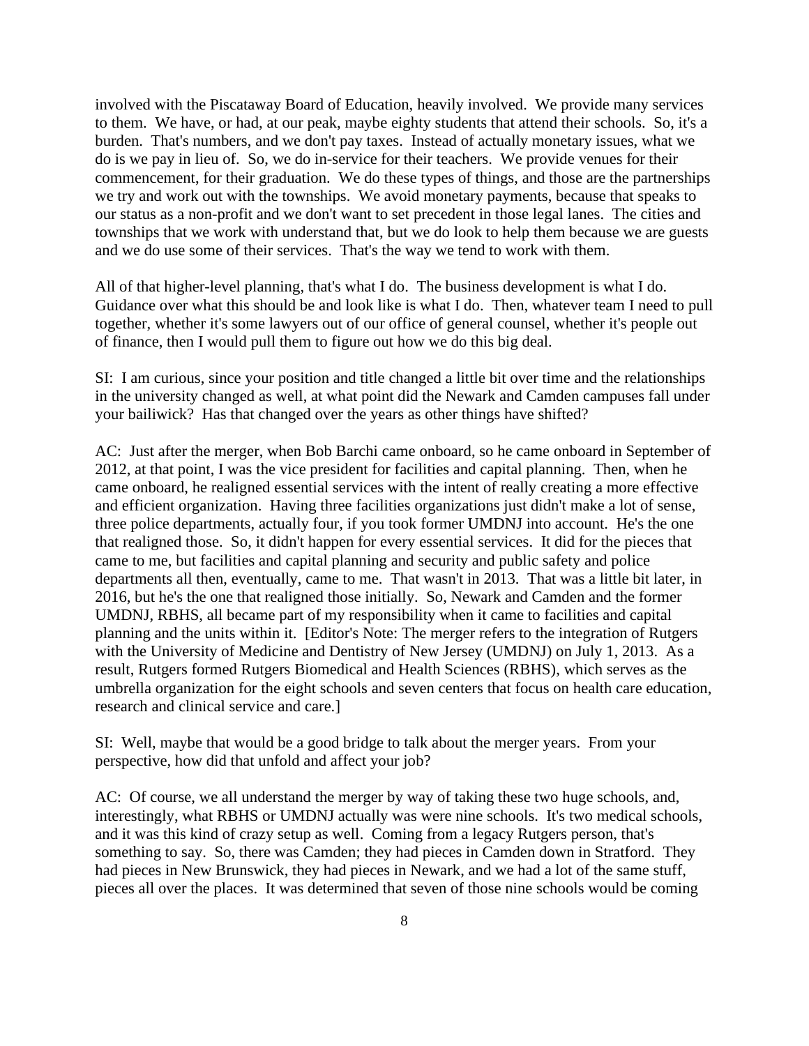involved with the Piscataway Board of Education, heavily involved. We provide many services to them. We have, or had, at our peak, maybe eighty students that attend their schools. So, it's a burden. That's numbers, and we don't pay taxes. Instead of actually monetary issues, what we do is we pay in lieu of. So, we do in-service for their teachers. We provide venues for their commencement, for their graduation. We do these types of things, and those are the partnerships we try and work out with the townships. We avoid monetary payments, because that speaks to our status as a non-profit and we don't want to set precedent in those legal lanes. The cities and townships that we work with understand that, but we do look to help them because we are guests and we do use some of their services. That's the way we tend to work with them.

All of that higher-level planning, that's what I do. The business development is what I do. Guidance over what this should be and look like is what I do. Then, whatever team I need to pull together, whether it's some lawyers out of our office of general counsel, whether it's people out of finance, then I would pull them to figure out how we do this big deal.

SI: I am curious, since your position and title changed a little bit over time and the relationships in the university changed as well, at what point did the Newark and Camden campuses fall under your bailiwick? Has that changed over the years as other things have shifted?

AC: Just after the merger, when Bob Barchi came onboard, so he came onboard in September of 2012, at that point, I was the vice president for facilities and capital planning. Then, when he came onboard, he realigned essential services with the intent of really creating a more effective and efficient organization. Having three facilities organizations just didn't make a lot of sense, three police departments, actually four, if you took former UMDNJ into account. He's the one that realigned those. So, it didn't happen for every essential services. It did for the pieces that came to me, but facilities and capital planning and security and public safety and police departments all then, eventually, came to me. That wasn't in 2013. That was a little bit later, in 2016, but he's the one that realigned those initially. So, Newark and Camden and the former UMDNJ, RBHS, all became part of my responsibility when it came to facilities and capital planning and the units within it. [Editor's Note: The merger refers to the integration of Rutgers with the University of Medicine and Dentistry of New Jersey (UMDNJ) on July 1, 2013. As a result, Rutgers formed Rutgers Biomedical and Health Sciences (RBHS), which serves as the umbrella organization for the eight schools and seven centers that focus on health care education, research and clinical service and care.]

SI: Well, maybe that would be a good bridge to talk about the merger years. From your perspective, how did that unfold and affect your job?

AC: Of course, we all understand the merger by way of taking these two huge schools, and, interestingly, what RBHS or UMDNJ actually was were nine schools. It's two medical schools, and it was this kind of crazy setup as well. Coming from a legacy Rutgers person, that's something to say. So, there was Camden; they had pieces in Camden down in Stratford. They had pieces in New Brunswick, they had pieces in Newark, and we had a lot of the same stuff, pieces all over the places. It was determined that seven of those nine schools would be coming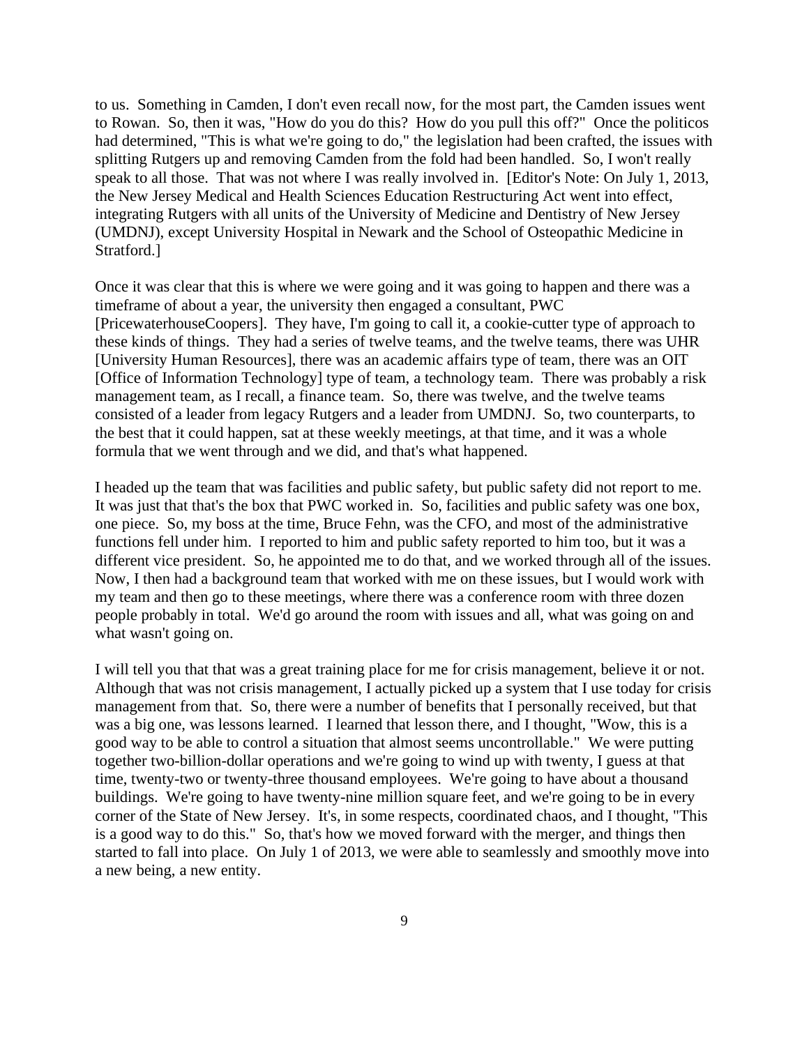to us. Something in Camden, I don't even recall now, for the most part, the Camden issues went to Rowan. So, then it was, "How do you do this? How do you pull this off?" Once the politicos had determined, "This is what we're going to do," the legislation had been crafted, the issues with splitting Rutgers up and removing Camden from the fold had been handled. So, I won't really speak to all those. That was not where I was really involved in. [Editor's Note: On July 1, 2013, the New Jersey Medical and Health Sciences Education Restructuring Act went into effect, integrating Rutgers with all units of the University of Medicine and Dentistry of New Jersey (UMDNJ), except University Hospital in Newark and the School of Osteopathic Medicine in Stratford.]

Once it was clear that this is where we were going and it was going to happen and there was a timeframe of about a year, the university then engaged a consultant, PWC [PricewaterhouseCoopers]. They have, I'm going to call it, a cookie-cutter type of approach to these kinds of things. They had a series of twelve teams, and the twelve teams, there was UHR [University Human Resources], there was an academic affairs type of team, there was an OIT [Office of Information Technology] type of team, a technology team. There was probably a risk management team, as I recall, a finance team. So, there was twelve, and the twelve teams consisted of a leader from legacy Rutgers and a leader from UMDNJ. So, two counterparts, to the best that it could happen, sat at these weekly meetings, at that time, and it was a whole formula that we went through and we did, and that's what happened.

I headed up the team that was facilities and public safety, but public safety did not report to me. It was just that that's the box that PWC worked in. So, facilities and public safety was one box, one piece. So, my boss at the time, Bruce Fehn, was the CFO, and most of the administrative functions fell under him. I reported to him and public safety reported to him too, but it was a different vice president. So, he appointed me to do that, and we worked through all of the issues. Now, I then had a background team that worked with me on these issues, but I would work with my team and then go to these meetings, where there was a conference room with three dozen people probably in total. We'd go around the room with issues and all, what was going on and what wasn't going on.

I will tell you that that was a great training place for me for crisis management, believe it or not. Although that was not crisis management, I actually picked up a system that I use today for crisis management from that. So, there were a number of benefits that I personally received, but that was a big one, was lessons learned. I learned that lesson there, and I thought, "Wow, this is a good way to be able to control a situation that almost seems uncontrollable." We were putting together two-billion-dollar operations and we're going to wind up with twenty, I guess at that time, twenty-two or twenty-three thousand employees. We're going to have about a thousand buildings. We're going to have twenty-nine million square feet, and we're going to be in every corner of the State of New Jersey. It's, in some respects, coordinated chaos, and I thought, "This is a good way to do this." So, that's how we moved forward with the merger, and things then started to fall into place. On July 1 of 2013, we were able to seamlessly and smoothly move into a new being, a new entity.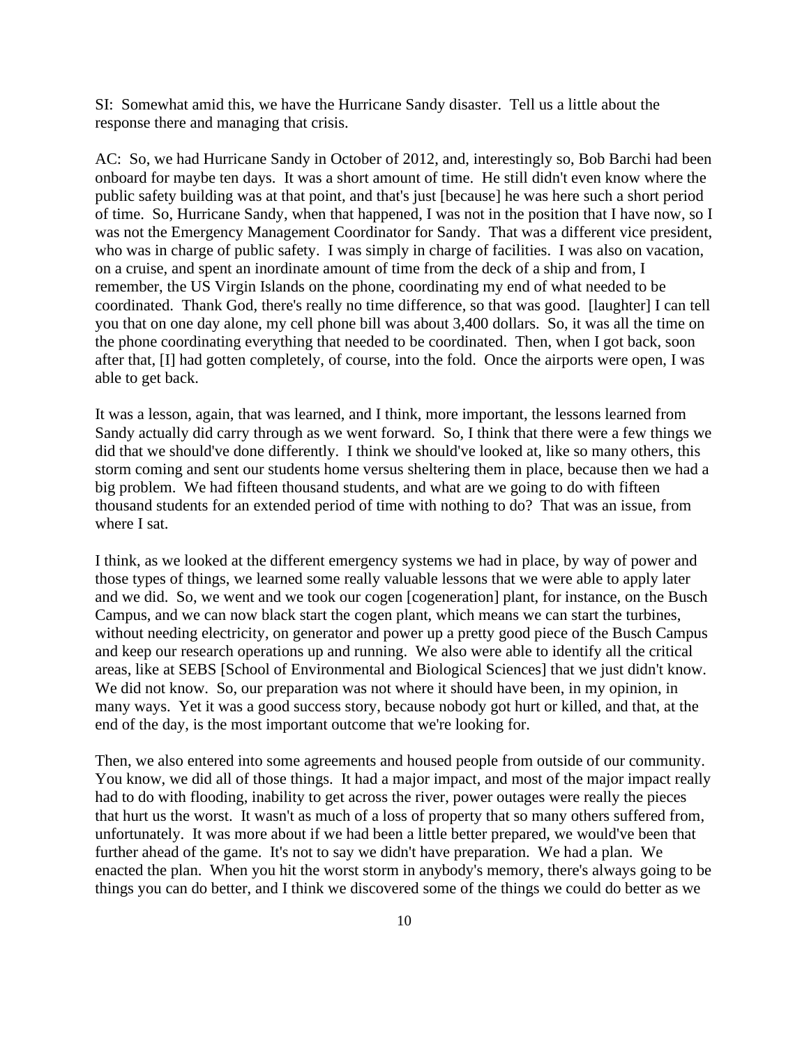SI: Somewhat amid this, we have the Hurricane Sandy disaster. Tell us a little about the response there and managing that crisis.

AC: So, we had Hurricane Sandy in October of 2012, and, interestingly so, Bob Barchi had been onboard for maybe ten days. It was a short amount of time. He still didn't even know where the public safety building was at that point, and that's just [because] he was here such a short period of time. So, Hurricane Sandy, when that happened, I was not in the position that I have now, so I was not the Emergency Management Coordinator for Sandy. That was a different vice president, who was in charge of public safety. I was simply in charge of facilities. I was also on vacation, on a cruise, and spent an inordinate amount of time from the deck of a ship and from, I remember, the US Virgin Islands on the phone, coordinating my end of what needed to be coordinated. Thank God, there's really no time difference, so that was good. [laughter] I can tell you that on one day alone, my cell phone bill was about 3,400 dollars. So, it was all the time on the phone coordinating everything that needed to be coordinated. Then, when I got back, soon after that, [I] had gotten completely, of course, into the fold. Once the airports were open, I was able to get back.

It was a lesson, again, that was learned, and I think, more important, the lessons learned from Sandy actually did carry through as we went forward. So, I think that there were a few things we did that we should've done differently. I think we should've looked at, like so many others, this storm coming and sent our students home versus sheltering them in place, because then we had a big problem. We had fifteen thousand students, and what are we going to do with fifteen thousand students for an extended period of time with nothing to do? That was an issue, from where I sat.

I think, as we looked at the different emergency systems we had in place, by way of power and those types of things, we learned some really valuable lessons that we were able to apply later and we did. So, we went and we took our cogen [cogeneration] plant, for instance, on the Busch Campus, and we can now black start the cogen plant, which means we can start the turbines, without needing electricity, on generator and power up a pretty good piece of the Busch Campus and keep our research operations up and running. We also were able to identify all the critical areas, like at SEBS [School of Environmental and Biological Sciences] that we just didn't know. We did not know. So, our preparation was not where it should have been, in my opinion, in many ways. Yet it was a good success story, because nobody got hurt or killed, and that, at the end of the day, is the most important outcome that we're looking for.

Then, we also entered into some agreements and housed people from outside of our community. You know, we did all of those things. It had a major impact, and most of the major impact really had to do with flooding, inability to get across the river, power outages were really the pieces that hurt us the worst. It wasn't as much of a loss of property that so many others suffered from, unfortunately. It was more about if we had been a little better prepared, we would've been that further ahead of the game. It's not to say we didn't have preparation. We had a plan. We enacted the plan. When you hit the worst storm in anybody's memory, there's always going to be things you can do better, and I think we discovered some of the things we could do better as we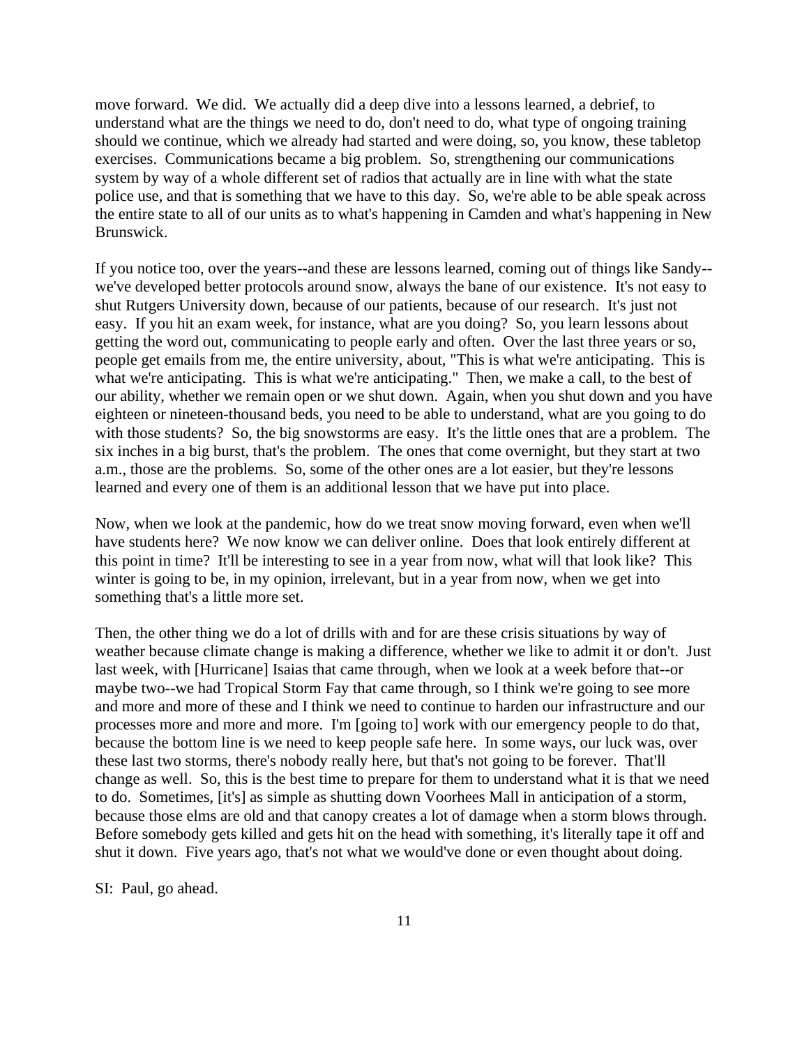move forward. We did. We actually did a deep dive into a lessons learned, a debrief, to understand what are the things we need to do, don't need to do, what type of ongoing training should we continue, which we already had started and were doing, so, you know, these tabletop exercises. Communications became a big problem. So, strengthening our communications system by way of a whole different set of radios that actually are in line with what the state police use, and that is something that we have to this day. So, we're able to be able speak across the entire state to all of our units as to what's happening in Camden and what's happening in New Brunswick.

If you notice too, over the years--and these are lessons learned, coming out of things like Sandy- we've developed better protocols around snow, always the bane of our existence. It's not easy to shut Rutgers University down, because of our patients, because of our research. It's just not easy. If you hit an exam week, for instance, what are you doing? So, you learn lessons about getting the word out, communicating to people early and often. Over the last three years or so, people get emails from me, the entire university, about, "This is what we're anticipating. This is what we're anticipating. This is what we're anticipating." Then, we make a call, to the best of our ability, whether we remain open or we shut down. Again, when you shut down and you have eighteen or nineteen-thousand beds, you need to be able to understand, what are you going to do with those students? So, the big snowstorms are easy. It's the little ones that are a problem. The six inches in a big burst, that's the problem. The ones that come overnight, but they start at two a.m., those are the problems. So, some of the other ones are a lot easier, but they're lessons learned and every one of them is an additional lesson that we have put into place.

Now, when we look at the pandemic, how do we treat snow moving forward, even when we'll have students here? We now know we can deliver online. Does that look entirely different at this point in time? It'll be interesting to see in a year from now, what will that look like? This winter is going to be, in my opinion, irrelevant, but in a year from now, when we get into something that's a little more set.

Then, the other thing we do a lot of drills with and for are these crisis situations by way of weather because climate change is making a difference, whether we like to admit it or don't. Just last week, with [Hurricane] Isaias that came through, when we look at a week before that--or maybe two--we had Tropical Storm Fay that came through, so I think we're going to see more and more and more of these and I think we need to continue to harden our infrastructure and our processes more and more and more. I'm [going to] work with our emergency people to do that, because the bottom line is we need to keep people safe here. In some ways, our luck was, over these last two storms, there's nobody really here, but that's not going to be forever. That'll change as well. So, this is the best time to prepare for them to understand what it is that we need to do. Sometimes, [it's] as simple as shutting down Voorhees Mall in anticipation of a storm, because those elms are old and that canopy creates a lot of damage when a storm blows through. Before somebody gets killed and gets hit on the head with something, it's literally tape it off and shut it down. Five years ago, that's not what we would've done or even thought about doing.

SI: Paul, go ahead.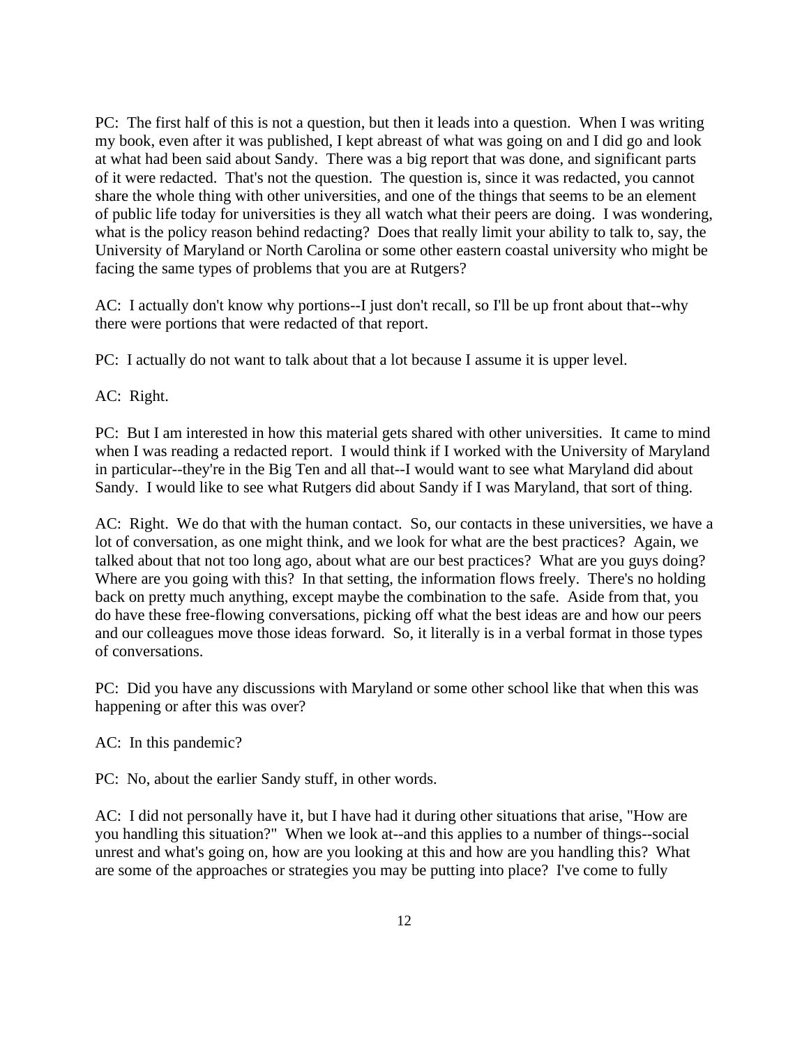PC: The first half of this is not a question, but then it leads into a question. When I was writing my book, even after it was published, I kept abreast of what was going on and I did go and look at what had been said about Sandy. There was a big report that was done, and significant parts of it were redacted. That's not the question. The question is, since it was redacted, you cannot share the whole thing with other universities, and one of the things that seems to be an element of public life today for universities is they all watch what their peers are doing. I was wondering, what is the policy reason behind redacting? Does that really limit your ability to talk to, say, the University of Maryland or North Carolina or some other eastern coastal university who might be facing the same types of problems that you are at Rutgers?

AC: I actually don't know why portions--I just don't recall, so I'll be up front about that--why there were portions that were redacted of that report.

PC: I actually do not want to talk about that a lot because I assume it is upper level.

AC: Right.

PC: But I am interested in how this material gets shared with other universities. It came to mind when I was reading a redacted report. I would think if I worked with the University of Maryland in particular--they're in the Big Ten and all that--I would want to see what Maryland did about Sandy. I would like to see what Rutgers did about Sandy if I was Maryland, that sort of thing.

AC: Right. We do that with the human contact. So, our contacts in these universities, we have a lot of conversation, as one might think, and we look for what are the best practices? Again, we talked about that not too long ago, about what are our best practices? What are you guys doing? Where are you going with this? In that setting, the information flows freely. There's no holding back on pretty much anything, except maybe the combination to the safe. Aside from that, you do have these free-flowing conversations, picking off what the best ideas are and how our peers and our colleagues move those ideas forward. So, it literally is in a verbal format in those types of conversations.

PC: Did you have any discussions with Maryland or some other school like that when this was happening or after this was over?

AC: In this pandemic?

PC: No, about the earlier Sandy stuff, in other words.

AC: I did not personally have it, but I have had it during other situations that arise, "How are you handling this situation?" When we look at--and this applies to a number of things--social unrest and what's going on, how are you looking at this and how are you handling this? What are some of the approaches or strategies you may be putting into place? I've come to fully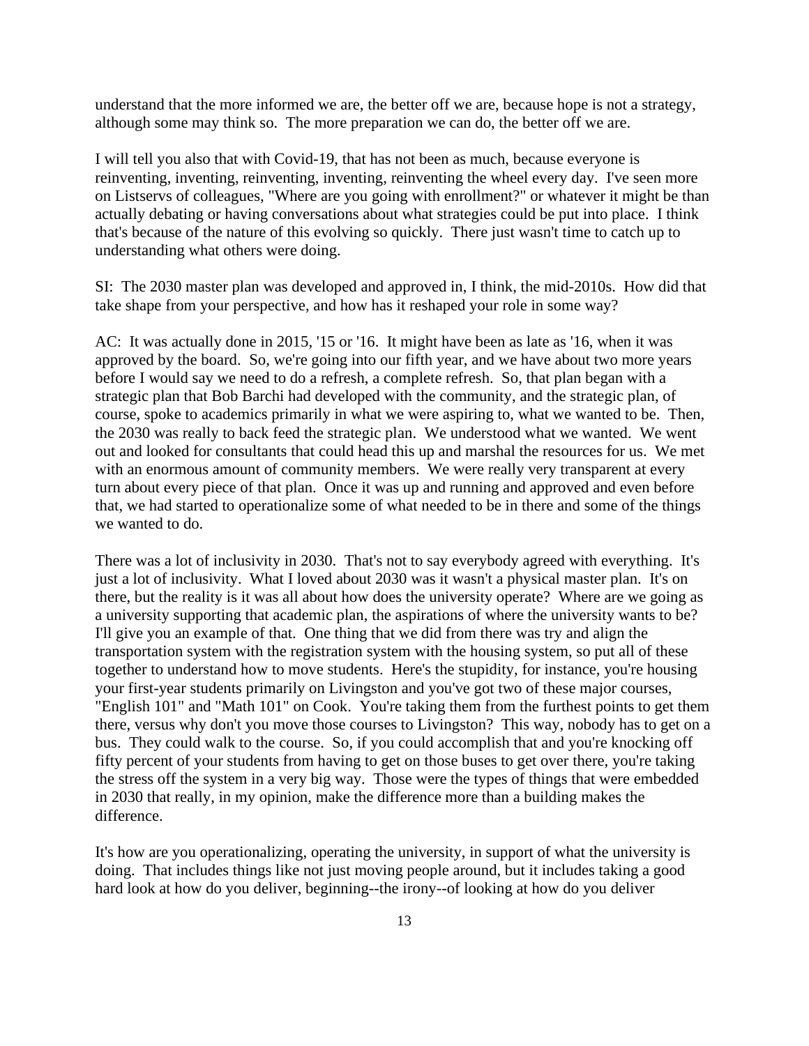understand that the more informed we are, the better off we are, because hope is not a strategy, although some may think so. The more preparation we can do, the better off we are.

I will tell you also that with Covid-19, that has not been as much, because everyone is reinventing, inventing, reinventing, inventing, reinventing the wheel every day. I've seen more on Listservs of colleagues, "Where are you going with enrollment?" or whatever it might be than actually debating or having conversations about what strategies could be put into place. I think that's because of the nature of this evolving so quickly. There just wasn't time to catch up to understanding what others were doing.

SI: The 2030 master plan was developed and approved in, I think, the mid-2010s. How did that take shape from your perspective, and how has it reshaped your role in some way?

AC: It was actually done in 2015, '15 or '16. It might have been as late as '16, when it was approved by the board. So, we're going into our fifth year, and we have about two more years before I would say we need to do a refresh, a complete refresh. So, that plan began with a strategic plan that Bob Barchi had developed with the community, and the strategic plan, of course, spoke to academics primarily in what we were aspiring to, what we wanted to be. Then, the 2030 was really to back feed the strategic plan. We understood what we wanted. We went out and looked for consultants that could head this up and marshal the resources for us. We met with an enormous amount of community members. We were really very transparent at every turn about every piece of that plan. Once it was up and running and approved and even before that, we had started to operationalize some of what needed to be in there and some of the things we wanted to do.

There was a lot of inclusivity in 2030. That's not to say everybody agreed with everything. It's just a lot of inclusivity. What I loved about 2030 was it wasn't a physical master plan. It's on there, but the reality is it was all about how does the university operate? Where are we going as a university supporting that academic plan, the aspirations of where the university wants to be? I'll give you an example of that. One thing that we did from there was try and align the transportation system with the registration system with the housing system, so put all of these together to understand how to move students. Here's the stupidity, for instance, you're housing your first-year students primarily on Livingston and you've got two of these major courses, "English 101" and "Math 101" on Cook. You're taking them from the furthest points to get them there, versus why don't you move those courses to Livingston? This way, nobody has to get on a bus. They could walk to the course. So, if you could accomplish that and you're knocking off fifty percent of your students from having to get on those buses to get over there, you're taking the stress off the system in a very big way. Those were the types of things that were embedded in 2030 that really, in my opinion, make the difference more than a building makes the difference.

It's how are you operationalizing, operating the university, in support of what the university is doing. That includes things like not just moving people around, but it includes taking a good hard look at how do you deliver, beginning--the irony--of looking at how do you deliver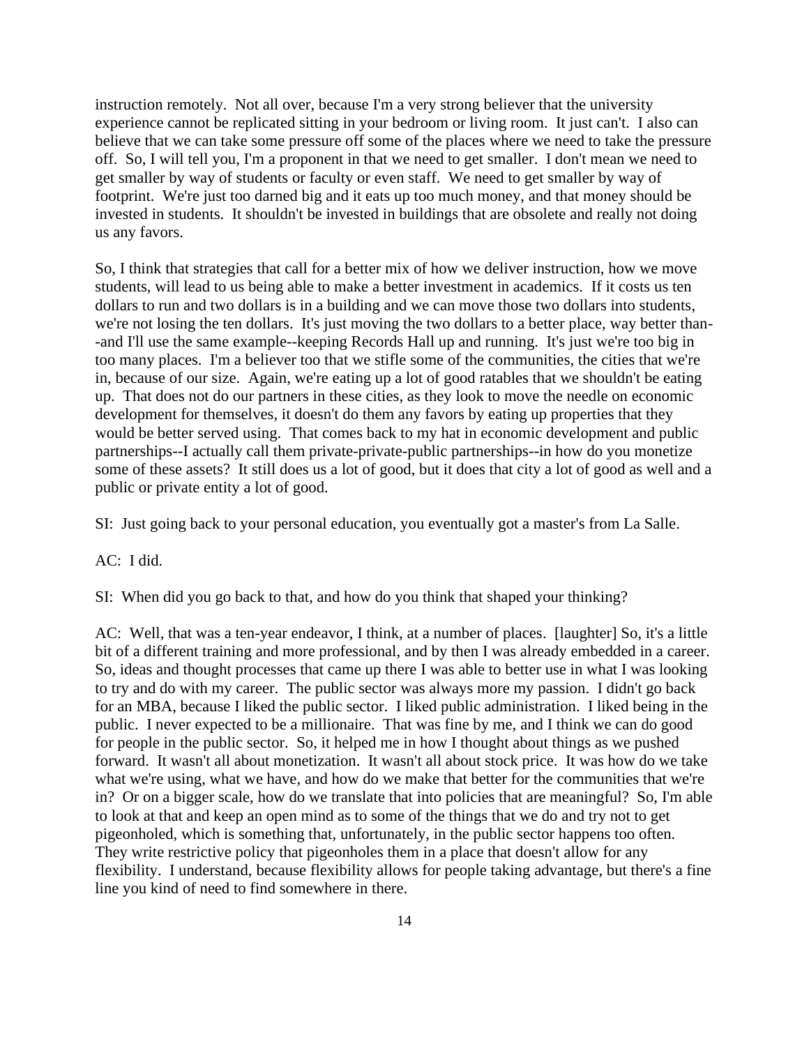instruction remotely. Not all over, because I'm a very strong believer that the university experience cannot be replicated sitting in your bedroom or living room. It just can't. I also can believe that we can take some pressure off some of the places where we need to take the pressure off. So, I will tell you, I'm a proponent in that we need to get smaller. I don't mean we need to get smaller by way of students or faculty or even staff. We need to get smaller by way of footprint. We're just too darned big and it eats up too much money, and that money should be invested in students. It shouldn't be invested in buildings that are obsolete and really not doing us any favors.

So, I think that strategies that call for a better mix of how we deliver instruction, how we move students, will lead to us being able to make a better investment in academics. If it costs us ten dollars to run and two dollars is in a building and we can move those two dollars into students, we're not losing the ten dollars. It's just moving the two dollars to a better place, way better than- -and I'll use the same example--keeping Records Hall up and running. It's just we're too big in too many places. I'm a believer too that we stifle some of the communities, the cities that we're in, because of our size. Again, we're eating up a lot of good ratables that we shouldn't be eating up. That does not do our partners in these cities, as they look to move the needle on economic development for themselves, it doesn't do them any favors by eating up properties that they would be better served using. That comes back to my hat in economic development and public partnerships--I actually call them private-private-public partnerships--in how do you monetize some of these assets? It still does us a lot of good, but it does that city a lot of good as well and a public or private entity a lot of good.

SI: Just going back to your personal education, you eventually got a master's from La Salle.

AC: I did.

SI: When did you go back to that, and how do you think that shaped your thinking?

AC: Well, that was a ten-year endeavor, I think, at a number of places. [laughter] So, it's a little bit of a different training and more professional, and by then I was already embedded in a career. So, ideas and thought processes that came up there I was able to better use in what I was looking to try and do with my career. The public sector was always more my passion. I didn't go back for an MBA, because I liked the public sector. I liked public administration. I liked being in the public. I never expected to be a millionaire. That was fine by me, and I think we can do good for people in the public sector. So, it helped me in how I thought about things as we pushed forward. It wasn't all about monetization. It wasn't all about stock price. It was how do we take what we're using, what we have, and how do we make that better for the communities that we're in? Or on a bigger scale, how do we translate that into policies that are meaningful? So, I'm able to look at that and keep an open mind as to some of the things that we do and try not to get pigeonholed, which is something that, unfortunately, in the public sector happens too often. They write restrictive policy that pigeonholes them in a place that doesn't allow for any flexibility. I understand, because flexibility allows for people taking advantage, but there's a fine line you kind of need to find somewhere in there.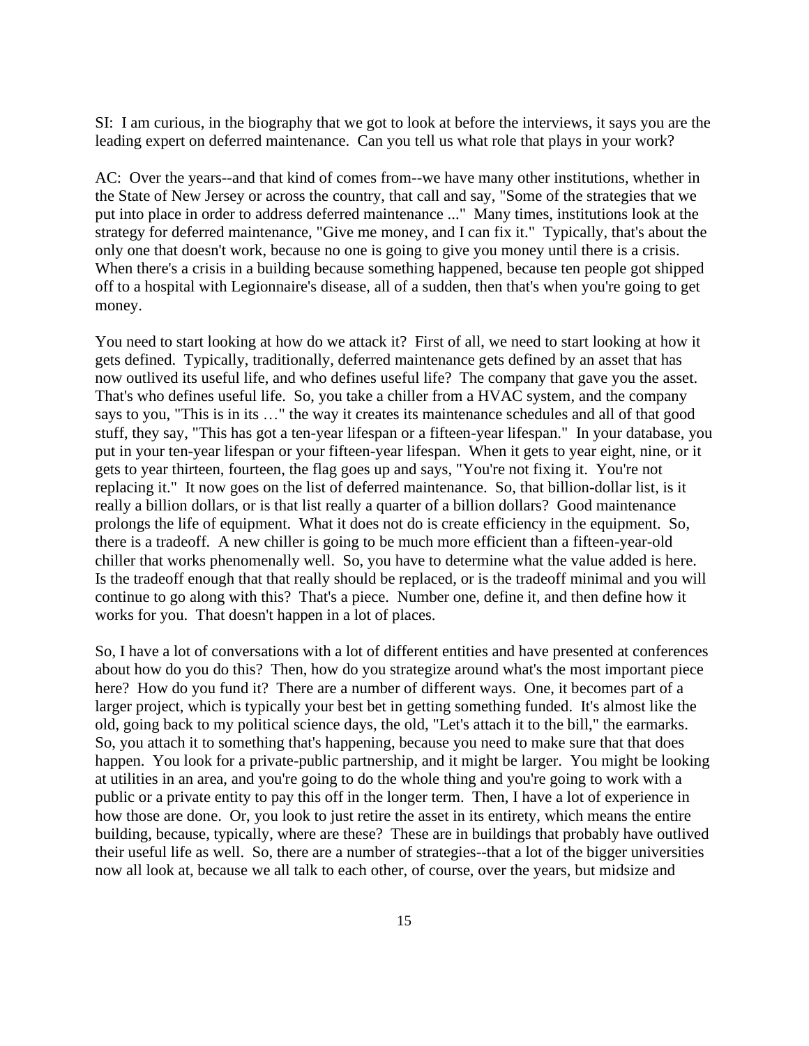SI: I am curious, in the biography that we got to look at before the interviews, it says you are the leading expert on deferred maintenance. Can you tell us what role that plays in your work?

AC: Over the years--and that kind of comes from--we have many other institutions, whether in the State of New Jersey or across the country, that call and say, "Some of the strategies that we put into place in order to address deferred maintenance ..." Many times, institutions look at the strategy for deferred maintenance, "Give me money, and I can fix it." Typically, that's about the only one that doesn't work, because no one is going to give you money until there is a crisis. When there's a crisis in a building because something happened, because ten people got shipped off to a hospital with Legionnaire's disease, all of a sudden, then that's when you're going to get money.

You need to start looking at how do we attack it? First of all, we need to start looking at how it gets defined. Typically, traditionally, deferred maintenance gets defined by an asset that has now outlived its useful life, and who defines useful life? The company that gave you the asset. That's who defines useful life. So, you take a chiller from a HVAC system, and the company says to you, "This is in its …" the way it creates its maintenance schedules and all of that good stuff, they say, "This has got a ten-year lifespan or a fifteen-year lifespan." In your database, you put in your ten-year lifespan or your fifteen-year lifespan. When it gets to year eight, nine, or it gets to year thirteen, fourteen, the flag goes up and says, "You're not fixing it. You're not replacing it." It now goes on the list of deferred maintenance. So, that billion-dollar list, is it really a billion dollars, or is that list really a quarter of a billion dollars? Good maintenance prolongs the life of equipment. What it does not do is create efficiency in the equipment. So, there is a tradeoff. A new chiller is going to be much more efficient than a fifteen-year-old chiller that works phenomenally well. So, you have to determine what the value added is here. Is the tradeoff enough that that really should be replaced, or is the tradeoff minimal and you will continue to go along with this? That's a piece. Number one, define it, and then define how it works for you. That doesn't happen in a lot of places.

So, I have a lot of conversations with a lot of different entities and have presented at conferences about how do you do this? Then, how do you strategize around what's the most important piece here? How do you fund it? There are a number of different ways. One, it becomes part of a larger project, which is typically your best bet in getting something funded. It's almost like the old, going back to my political science days, the old, "Let's attach it to the bill," the earmarks. So, you attach it to something that's happening, because you need to make sure that that does happen. You look for a private-public partnership, and it might be larger. You might be looking at utilities in an area, and you're going to do the whole thing and you're going to work with a public or a private entity to pay this off in the longer term. Then, I have a lot of experience in how those are done. Or, you look to just retire the asset in its entirety, which means the entire building, because, typically, where are these? These are in buildings that probably have outlived their useful life as well. So, there are a number of strategies--that a lot of the bigger universities now all look at, because we all talk to each other, of course, over the years, but midsize and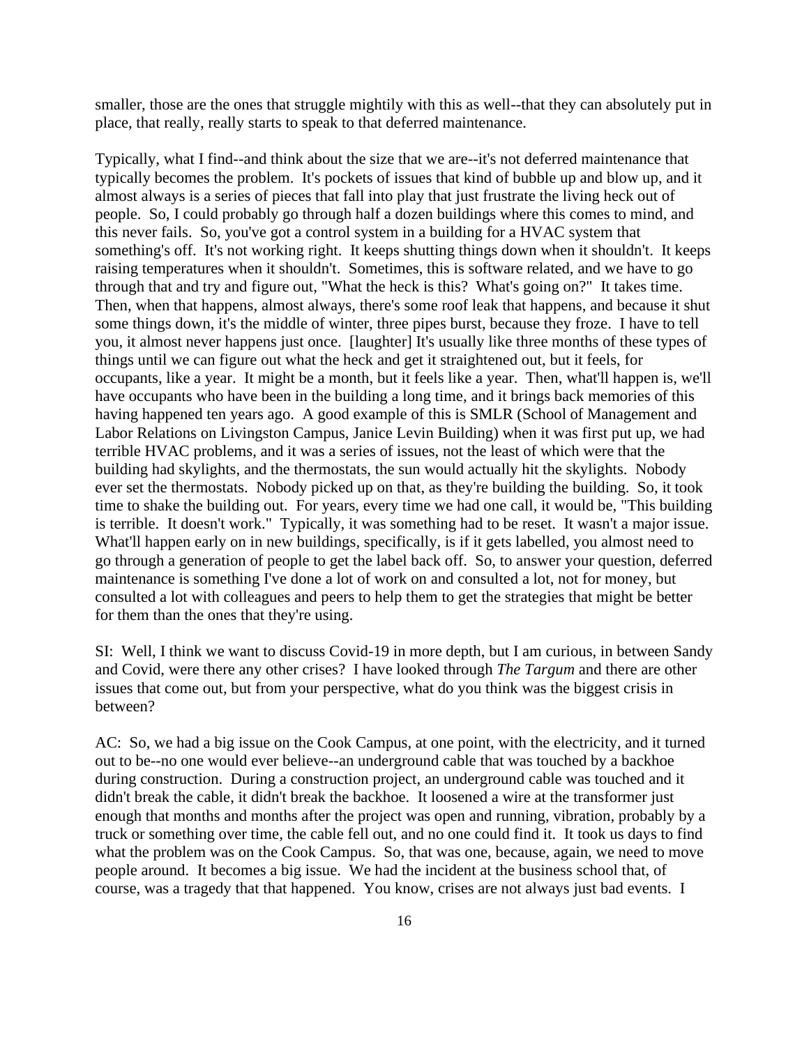smaller, those are the ones that struggle mightily with this as well--that they can absolutely put in place, that really, really starts to speak to that deferred maintenance.

Typically, what I find--and think about the size that we are--it's not deferred maintenance that typically becomes the problem. It's pockets of issues that kind of bubble up and blow up, and it almost always is a series of pieces that fall into play that just frustrate the living heck out of people. So, I could probably go through half a dozen buildings where this comes to mind, and this never fails. So, you've got a control system in a building for a HVAC system that something's off. It's not working right. It keeps shutting things down when it shouldn't. It keeps raising temperatures when it shouldn't. Sometimes, this is software related, and we have to go through that and try and figure out, "What the heck is this? What's going on?" It takes time. Then, when that happens, almost always, there's some roof leak that happens, and because it shut some things down, it's the middle of winter, three pipes burst, because they froze. I have to tell you, it almost never happens just once. [laughter] It's usually like three months of these types of things until we can figure out what the heck and get it straightened out, but it feels, for occupants, like a year. It might be a month, but it feels like a year. Then, what'll happen is, we'll have occupants who have been in the building a long time, and it brings back memories of this having happened ten years ago. A good example of this is SMLR (School of Management and Labor Relations on Livingston Campus, Janice Levin Building) when it was first put up, we had terrible HVAC problems, and it was a series of issues, not the least of which were that the building had skylights, and the thermostats, the sun would actually hit the skylights. Nobody ever set the thermostats. Nobody picked up on that, as they're building the building. So, it took time to shake the building out. For years, every time we had one call, it would be, "This building is terrible. It doesn't work." Typically, it was something had to be reset. It wasn't a major issue. What'll happen early on in new buildings, specifically, is if it gets labelled, you almost need to go through a generation of people to get the label back off. So, to answer your question, deferred maintenance is something I've done a lot of work on and consulted a lot, not for money, but consulted a lot with colleagues and peers to help them to get the strategies that might be better for them than the ones that they're using.

SI: Well, I think we want to discuss Covid-19 in more depth, but I am curious, in between Sandy and Covid, were there any other crises? I have looked through *The Targum* and there are other issues that come out, but from your perspective, what do you think was the biggest crisis in between?

AC: So, we had a big issue on the Cook Campus, at one point, with the electricity, and it turned out to be--no one would ever believe--an underground cable that was touched by a backhoe during construction. During a construction project, an underground cable was touched and it didn't break the cable, it didn't break the backhoe. It loosened a wire at the transformer just enough that months and months after the project was open and running, vibration, probably by a truck or something over time, the cable fell out, and no one could find it. It took us days to find what the problem was on the Cook Campus. So, that was one, because, again, we need to move people around. It becomes a big issue. We had the incident at the business school that, of course, was a tragedy that that happened. You know, crises are not always just bad events. I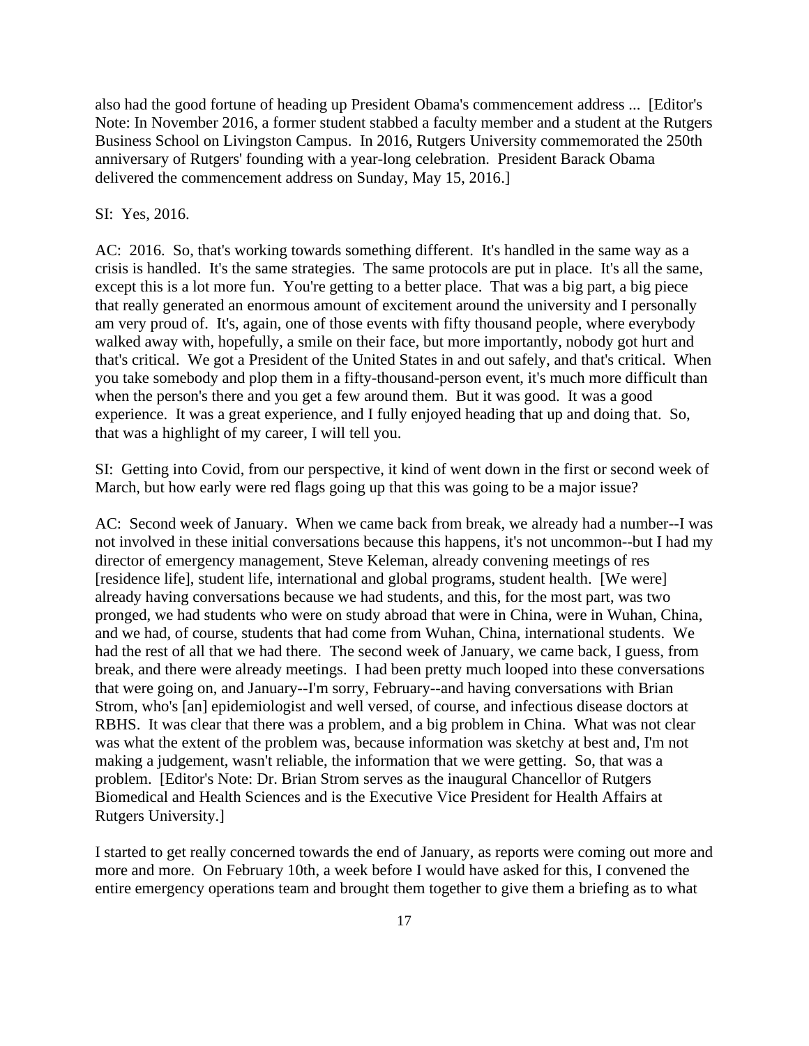also had the good fortune of heading up President Obama's commencement address ... [Editor's Note: In November 2016, a former student stabbed a faculty member and a student at the Rutgers Business School on Livingston Campus. In 2016, Rutgers University commemorated the 250th anniversary of Rutgers' founding with a year-long celebration. President Barack Obama delivered the commencement address on Sunday, May 15, 2016.]

#### SI: Yes, 2016.

AC: 2016. So, that's working towards something different. It's handled in the same way as a crisis is handled. It's the same strategies. The same protocols are put in place. It's all the same, except this is a lot more fun. You're getting to a better place. That was a big part, a big piece that really generated an enormous amount of excitement around the university and I personally am very proud of. It's, again, one of those events with fifty thousand people, where everybody walked away with, hopefully, a smile on their face, but more importantly, nobody got hurt and that's critical. We got a President of the United States in and out safely, and that's critical. When you take somebody and plop them in a fifty-thousand-person event, it's much more difficult than when the person's there and you get a few around them. But it was good. It was a good experience. It was a great experience, and I fully enjoyed heading that up and doing that. So, that was a highlight of my career, I will tell you.

SI: Getting into Covid, from our perspective, it kind of went down in the first or second week of March, but how early were red flags going up that this was going to be a major issue?

AC: Second week of January. When we came back from break, we already had a number--I was not involved in these initial conversations because this happens, it's not uncommon--but I had my director of emergency management, Steve Keleman, already convening meetings of res [residence life], student life, international and global programs, student health. [We were] already having conversations because we had students, and this, for the most part, was two pronged, we had students who were on study abroad that were in China, were in Wuhan, China, and we had, of course, students that had come from Wuhan, China, international students. We had the rest of all that we had there. The second week of January, we came back, I guess, from break, and there were already meetings. I had been pretty much looped into these conversations that were going on, and January--I'm sorry, February--and having conversations with Brian Strom, who's [an] epidemiologist and well versed, of course, and infectious disease doctors at RBHS. It was clear that there was a problem, and a big problem in China. What was not clear was what the extent of the problem was, because information was sketchy at best and, I'm not making a judgement, wasn't reliable, the information that we were getting. So, that was a problem. [Editor's Note: Dr. Brian Strom serves as the inaugural Chancellor of Rutgers Biomedical and Health Sciences and is the Executive Vice President for Health Affairs at Rutgers University.]

I started to get really concerned towards the end of January, as reports were coming out more and more and more. On February 10th, a week before I would have asked for this, I convened the entire emergency operations team and brought them together to give them a briefing as to what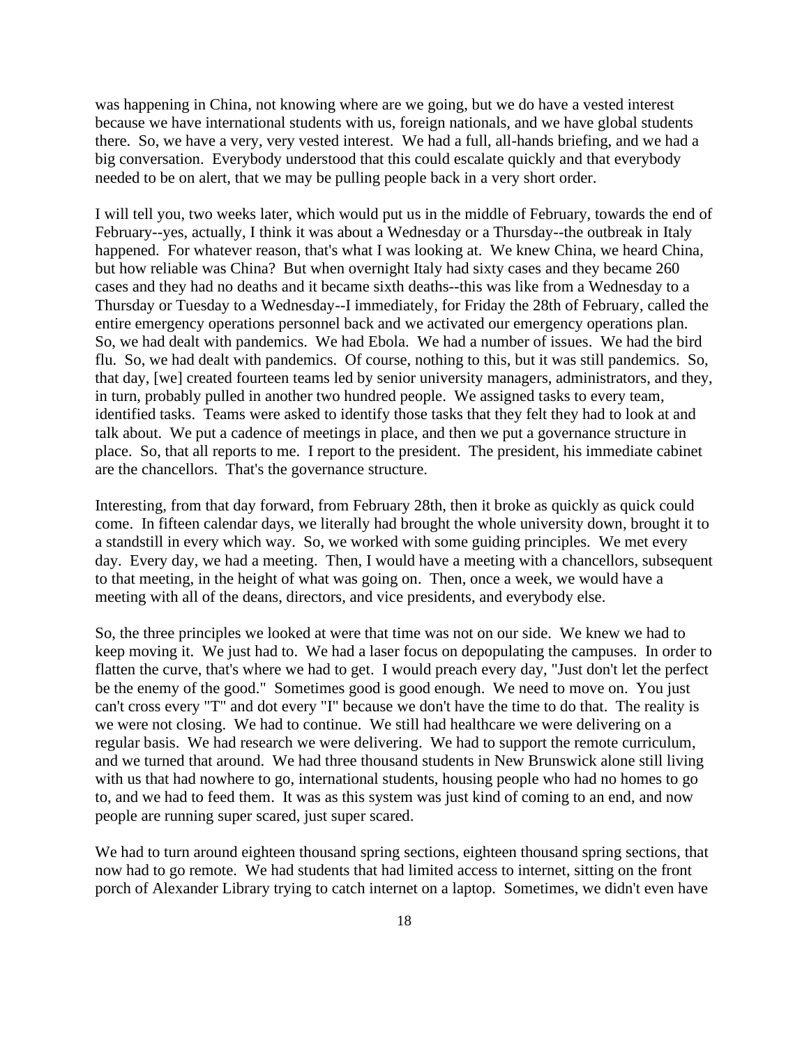was happening in China, not knowing where are we going, but we do have a vested interest because we have international students with us, foreign nationals, and we have global students there. So, we have a very, very vested interest. We had a full, all-hands briefing, and we had a big conversation. Everybody understood that this could escalate quickly and that everybody needed to be on alert, that we may be pulling people back in a very short order.

I will tell you, two weeks later, which would put us in the middle of February, towards the end of February--yes, actually, I think it was about a Wednesday or a Thursday--the outbreak in Italy happened. For whatever reason, that's what I was looking at. We knew China, we heard China, but how reliable was China? But when overnight Italy had sixty cases and they became 260 cases and they had no deaths and it became sixth deaths--this was like from a Wednesday to a Thursday or Tuesday to a Wednesday--I immediately, for Friday the 28th of February, called the entire emergency operations personnel back and we activated our emergency operations plan. So, we had dealt with pandemics. We had Ebola. We had a number of issues. We had the bird flu. So, we had dealt with pandemics. Of course, nothing to this, but it was still pandemics. So, that day, [we] created fourteen teams led by senior university managers, administrators, and they, in turn, probably pulled in another two hundred people. We assigned tasks to every team, identified tasks. Teams were asked to identify those tasks that they felt they had to look at and talk about. We put a cadence of meetings in place, and then we put a governance structure in place. So, that all reports to me. I report to the president. The president, his immediate cabinet are the chancellors. That's the governance structure.

Interesting, from that day forward, from February 28th, then it broke as quickly as quick could come. In fifteen calendar days, we literally had brought the whole university down, brought it to a standstill in every which way. So, we worked with some guiding principles. We met every day. Every day, we had a meeting. Then, I would have a meeting with a chancellors, subsequent to that meeting, in the height of what was going on. Then, once a week, we would have a meeting with all of the deans, directors, and vice presidents, and everybody else.

So, the three principles we looked at were that time was not on our side. We knew we had to keep moving it. We just had to. We had a laser focus on depopulating the campuses. In order to flatten the curve, that's where we had to get. I would preach every day, "Just don't let the perfect be the enemy of the good." Sometimes good is good enough. We need to move on. You just can't cross every "T" and dot every "I" because we don't have the time to do that. The reality is we were not closing. We had to continue. We still had healthcare we were delivering on a regular basis. We had research we were delivering. We had to support the remote curriculum, and we turned that around. We had three thousand students in New Brunswick alone still living with us that had nowhere to go, international students, housing people who had no homes to go to, and we had to feed them. It was as this system was just kind of coming to an end, and now people are running super scared, just super scared.

We had to turn around eighteen thousand spring sections, eighteen thousand spring sections, that now had to go remote. We had students that had limited access to internet, sitting on the front porch of Alexander Library trying to catch internet on a laptop. Sometimes, we didn't even have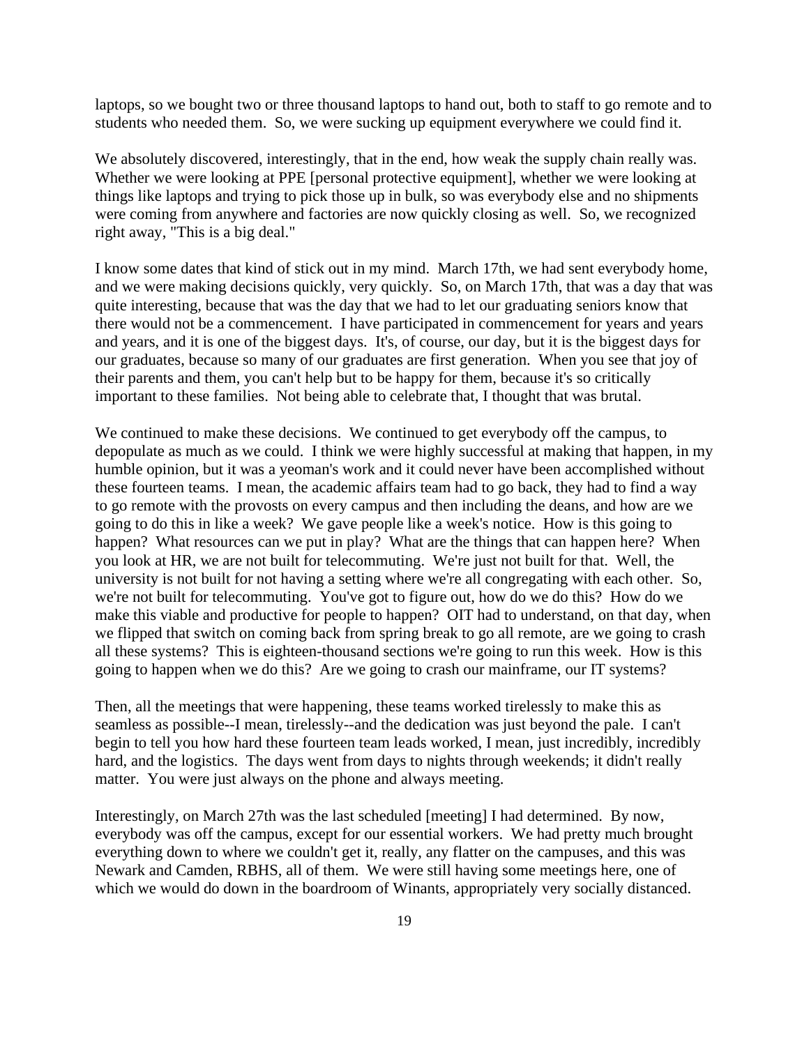laptops, so we bought two or three thousand laptops to hand out, both to staff to go remote and to students who needed them. So, we were sucking up equipment everywhere we could find it.

We absolutely discovered, interestingly, that in the end, how weak the supply chain really was. Whether we were looking at PPE [personal protective equipment], whether we were looking at things like laptops and trying to pick those up in bulk, so was everybody else and no shipments were coming from anywhere and factories are now quickly closing as well. So, we recognized right away, "This is a big deal."

I know some dates that kind of stick out in my mind. March 17th, we had sent everybody home, and we were making decisions quickly, very quickly. So, on March 17th, that was a day that was quite interesting, because that was the day that we had to let our graduating seniors know that there would not be a commencement. I have participated in commencement for years and years and years, and it is one of the biggest days. It's, of course, our day, but it is the biggest days for our graduates, because so many of our graduates are first generation. When you see that joy of their parents and them, you can't help but to be happy for them, because it's so critically important to these families. Not being able to celebrate that, I thought that was brutal.

We continued to make these decisions. We continued to get everybody off the campus, to depopulate as much as we could. I think we were highly successful at making that happen, in my humble opinion, but it was a yeoman's work and it could never have been accomplished without these fourteen teams. I mean, the academic affairs team had to go back, they had to find a way to go remote with the provosts on every campus and then including the deans, and how are we going to do this in like a week? We gave people like a week's notice. How is this going to happen? What resources can we put in play? What are the things that can happen here? When you look at HR, we are not built for telecommuting. We're just not built for that. Well, the university is not built for not having a setting where we're all congregating with each other. So, we're not built for telecommuting. You've got to figure out, how do we do this? How do we make this viable and productive for people to happen? OIT had to understand, on that day, when we flipped that switch on coming back from spring break to go all remote, are we going to crash all these systems? This is eighteen-thousand sections we're going to run this week. How is this going to happen when we do this? Are we going to crash our mainframe, our IT systems?

Then, all the meetings that were happening, these teams worked tirelessly to make this as seamless as possible--I mean, tirelessly--and the dedication was just beyond the pale. I can't begin to tell you how hard these fourteen team leads worked, I mean, just incredibly, incredibly hard, and the logistics. The days went from days to nights through weekends; it didn't really matter. You were just always on the phone and always meeting.

Interestingly, on March 27th was the last scheduled [meeting] I had determined. By now, everybody was off the campus, except for our essential workers. We had pretty much brought everything down to where we couldn't get it, really, any flatter on the campuses, and this was Newark and Camden, RBHS, all of them. We were still having some meetings here, one of which we would do down in the boardroom of Winants, appropriately very socially distanced.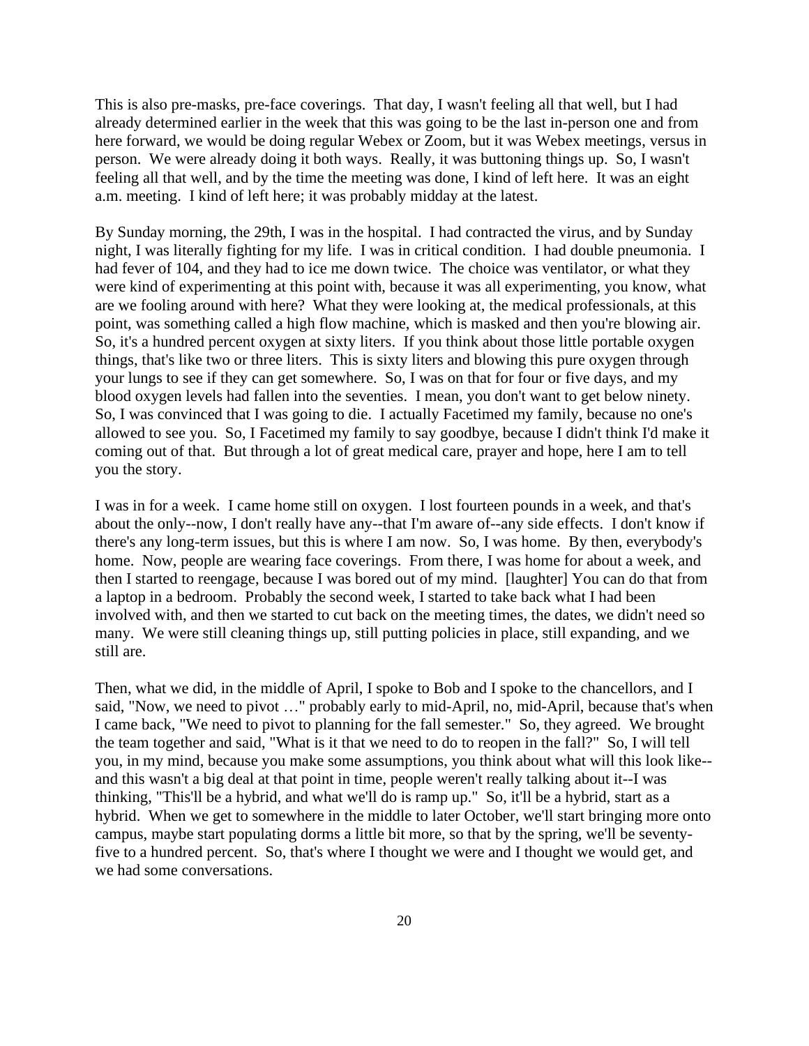This is also pre-masks, pre-face coverings. That day, I wasn't feeling all that well, but I had already determined earlier in the week that this was going to be the last in-person one and from here forward, we would be doing regular Webex or Zoom, but it was Webex meetings, versus in person. We were already doing it both ways. Really, it was buttoning things up. So, I wasn't feeling all that well, and by the time the meeting was done, I kind of left here. It was an eight a.m. meeting. I kind of left here; it was probably midday at the latest.

By Sunday morning, the 29th, I was in the hospital. I had contracted the virus, and by Sunday night, I was literally fighting for my life. I was in critical condition. I had double pneumonia. I had fever of 104, and they had to ice me down twice. The choice was ventilator, or what they were kind of experimenting at this point with, because it was all experimenting, you know, what are we fooling around with here? What they were looking at, the medical professionals, at this point, was something called a high flow machine, which is masked and then you're blowing air. So, it's a hundred percent oxygen at sixty liters. If you think about those little portable oxygen things, that's like two or three liters. This is sixty liters and blowing this pure oxygen through your lungs to see if they can get somewhere. So, I was on that for four or five days, and my blood oxygen levels had fallen into the seventies. I mean, you don't want to get below ninety. So, I was convinced that I was going to die. I actually Facetimed my family, because no one's allowed to see you. So, I Facetimed my family to say goodbye, because I didn't think I'd make it coming out of that. But through a lot of great medical care, prayer and hope, here I am to tell you the story.

I was in for a week. I came home still on oxygen. I lost fourteen pounds in a week, and that's about the only--now, I don't really have any--that I'm aware of--any side effects. I don't know if there's any long-term issues, but this is where I am now. So, I was home. By then, everybody's home. Now, people are wearing face coverings. From there, I was home for about a week, and then I started to reengage, because I was bored out of my mind. [laughter] You can do that from a laptop in a bedroom. Probably the second week, I started to take back what I had been involved with, and then we started to cut back on the meeting times, the dates, we didn't need so many. We were still cleaning things up, still putting policies in place, still expanding, and we still are.

Then, what we did, in the middle of April, I spoke to Bob and I spoke to the chancellors, and I said, "Now, we need to pivot …" probably early to mid-April, no, mid-April, because that's when I came back, "We need to pivot to planning for the fall semester." So, they agreed. We brought the team together and said, "What is it that we need to do to reopen in the fall?" So, I will tell you, in my mind, because you make some assumptions, you think about what will this look like- and this wasn't a big deal at that point in time, people weren't really talking about it--I was thinking, "This'll be a hybrid, and what we'll do is ramp up." So, it'll be a hybrid, start as a hybrid. When we get to somewhere in the middle to later October, we'll start bringing more onto campus, maybe start populating dorms a little bit more, so that by the spring, we'll be seventyfive to a hundred percent. So, that's where I thought we were and I thought we would get, and we had some conversations.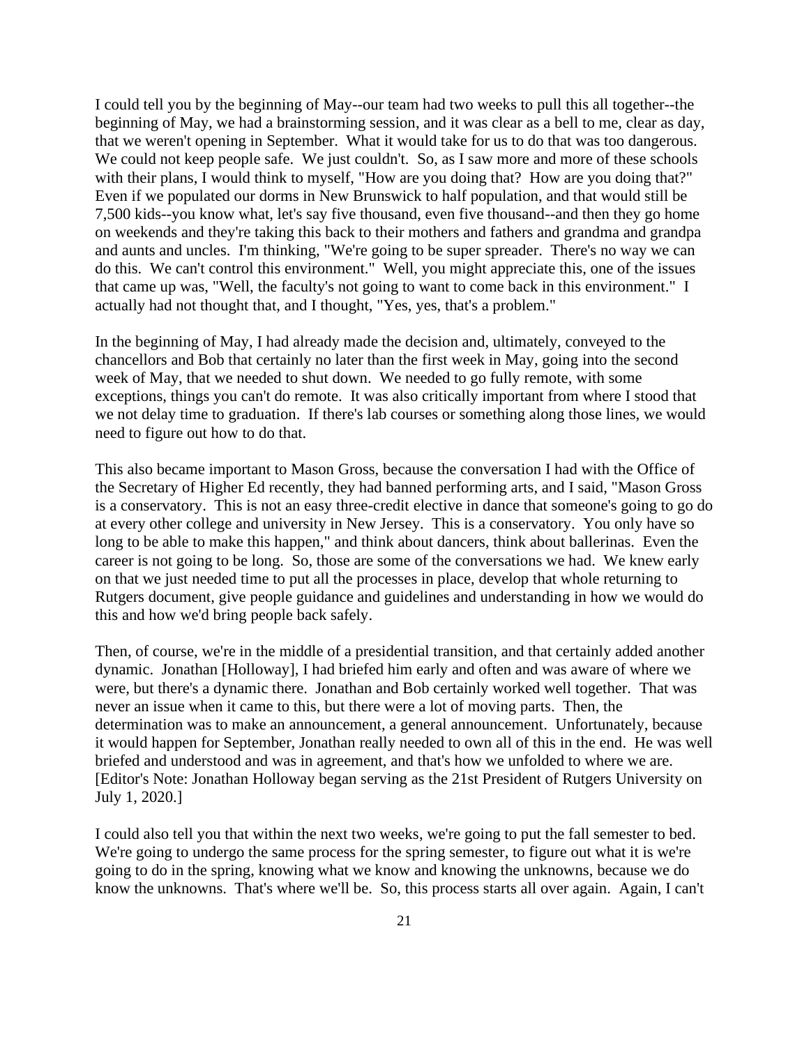I could tell you by the beginning of May--our team had two weeks to pull this all together--the beginning of May, we had a brainstorming session, and it was clear as a bell to me, clear as day, that we weren't opening in September. What it would take for us to do that was too dangerous. We could not keep people safe. We just couldn't. So, as I saw more and more of these schools with their plans, I would think to myself, "How are you doing that? How are you doing that?" Even if we populated our dorms in New Brunswick to half population, and that would still be 7,500 kids--you know what, let's say five thousand, even five thousand--and then they go home on weekends and they're taking this back to their mothers and fathers and grandma and grandpa and aunts and uncles. I'm thinking, "We're going to be super spreader. There's no way we can do this. We can't control this environment." Well, you might appreciate this, one of the issues that came up was, "Well, the faculty's not going to want to come back in this environment." I actually had not thought that, and I thought, "Yes, yes, that's a problem."

In the beginning of May, I had already made the decision and, ultimately, conveyed to the chancellors and Bob that certainly no later than the first week in May, going into the second week of May, that we needed to shut down. We needed to go fully remote, with some exceptions, things you can't do remote. It was also critically important from where I stood that we not delay time to graduation. If there's lab courses or something along those lines, we would need to figure out how to do that.

This also became important to Mason Gross, because the conversation I had with the Office of the Secretary of Higher Ed recently, they had banned performing arts, and I said, "Mason Gross is a conservatory. This is not an easy three-credit elective in dance that someone's going to go do at every other college and university in New Jersey. This is a conservatory. You only have so long to be able to make this happen," and think about dancers, think about ballerinas. Even the career is not going to be long. So, those are some of the conversations we had. We knew early on that we just needed time to put all the processes in place, develop that whole returning to Rutgers document, give people guidance and guidelines and understanding in how we would do this and how we'd bring people back safely.

Then, of course, we're in the middle of a presidential transition, and that certainly added another dynamic. Jonathan [Holloway], I had briefed him early and often and was aware of where we were, but there's a dynamic there. Jonathan and Bob certainly worked well together. That was never an issue when it came to this, but there were a lot of moving parts. Then, the determination was to make an announcement, a general announcement. Unfortunately, because it would happen for September, Jonathan really needed to own all of this in the end. He was well briefed and understood and was in agreement, and that's how we unfolded to where we are. [Editor's Note: Jonathan Holloway began serving as the 21st President of Rutgers University on July 1, 2020.]

I could also tell you that within the next two weeks, we're going to put the fall semester to bed. We're going to undergo the same process for the spring semester, to figure out what it is we're going to do in the spring, knowing what we know and knowing the unknowns, because we do know the unknowns. That's where we'll be. So, this process starts all over again. Again, I can't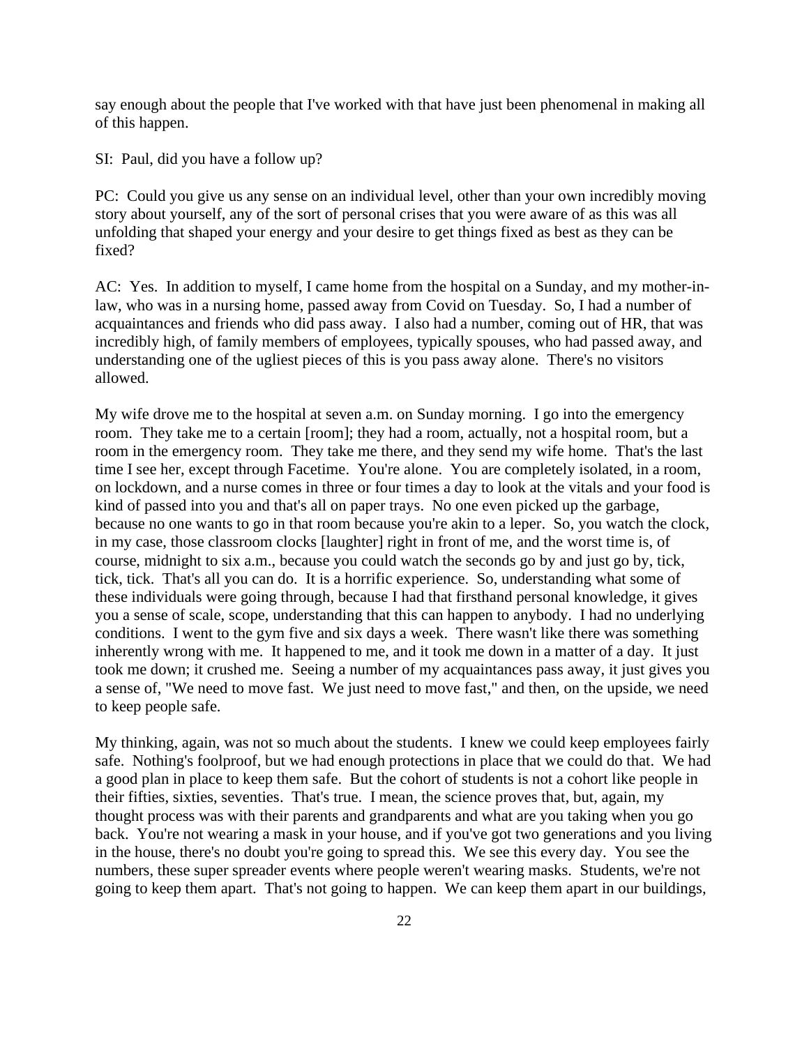say enough about the people that I've worked with that have just been phenomenal in making all of this happen.

SI: Paul, did you have a follow up?

PC: Could you give us any sense on an individual level, other than your own incredibly moving story about yourself, any of the sort of personal crises that you were aware of as this was all unfolding that shaped your energy and your desire to get things fixed as best as they can be fixed?

AC: Yes. In addition to myself, I came home from the hospital on a Sunday, and my mother-inlaw, who was in a nursing home, passed away from Covid on Tuesday. So, I had a number of acquaintances and friends who did pass away. I also had a number, coming out of HR, that was incredibly high, of family members of employees, typically spouses, who had passed away, and understanding one of the ugliest pieces of this is you pass away alone. There's no visitors allowed.

My wife drove me to the hospital at seven a.m. on Sunday morning. I go into the emergency room. They take me to a certain [room]; they had a room, actually, not a hospital room, but a room in the emergency room. They take me there, and they send my wife home. That's the last time I see her, except through Facetime. You're alone. You are completely isolated, in a room, on lockdown, and a nurse comes in three or four times a day to look at the vitals and your food is kind of passed into you and that's all on paper trays. No one even picked up the garbage, because no one wants to go in that room because you're akin to a leper. So, you watch the clock, in my case, those classroom clocks [laughter] right in front of me, and the worst time is, of course, midnight to six a.m., because you could watch the seconds go by and just go by, tick, tick, tick. That's all you can do. It is a horrific experience. So, understanding what some of these individuals were going through, because I had that firsthand personal knowledge, it gives you a sense of scale, scope, understanding that this can happen to anybody. I had no underlying conditions. I went to the gym five and six days a week. There wasn't like there was something inherently wrong with me. It happened to me, and it took me down in a matter of a day. It just took me down; it crushed me. Seeing a number of my acquaintances pass away, it just gives you a sense of, "We need to move fast. We just need to move fast," and then, on the upside, we need to keep people safe.

My thinking, again, was not so much about the students. I knew we could keep employees fairly safe. Nothing's foolproof, but we had enough protections in place that we could do that. We had a good plan in place to keep them safe. But the cohort of students is not a cohort like people in their fifties, sixties, seventies. That's true. I mean, the science proves that, but, again, my thought process was with their parents and grandparents and what are you taking when you go back. You're not wearing a mask in your house, and if you've got two generations and you living in the house, there's no doubt you're going to spread this. We see this every day. You see the numbers, these super spreader events where people weren't wearing masks. Students, we're not going to keep them apart. That's not going to happen. We can keep them apart in our buildings,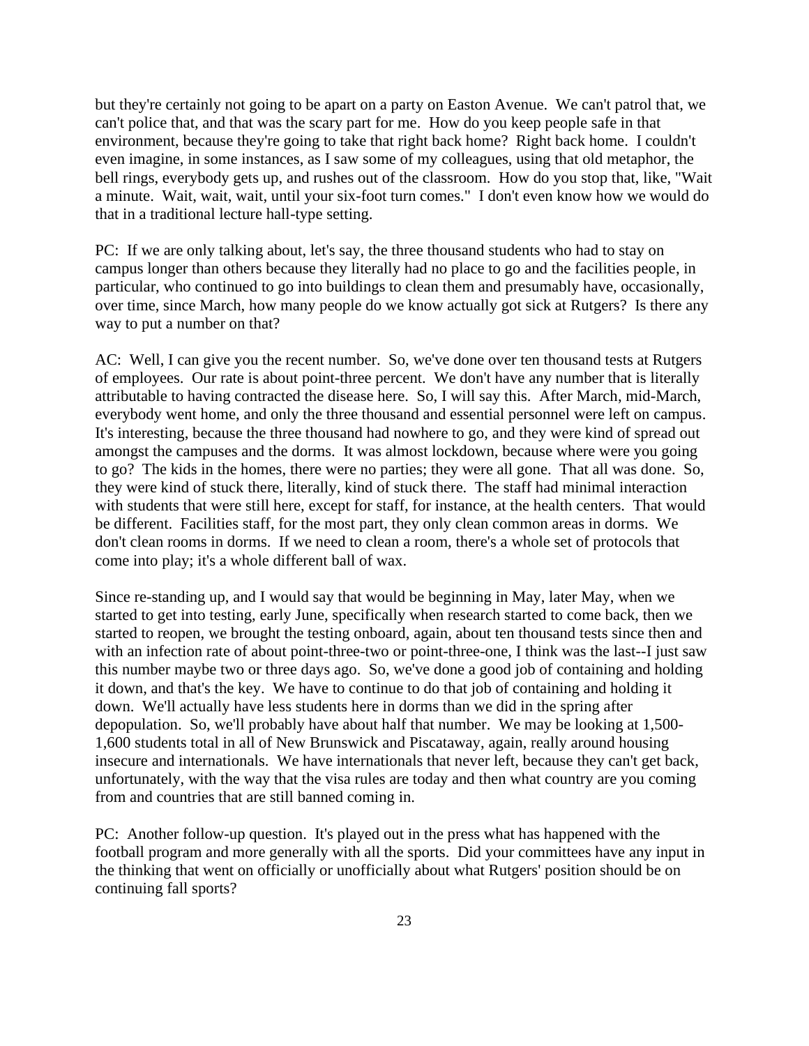but they're certainly not going to be apart on a party on Easton Avenue. We can't patrol that, we can't police that, and that was the scary part for me. How do you keep people safe in that environment, because they're going to take that right back home? Right back home. I couldn't even imagine, in some instances, as I saw some of my colleagues, using that old metaphor, the bell rings, everybody gets up, and rushes out of the classroom. How do you stop that, like, "Wait a minute. Wait, wait, wait, until your six-foot turn comes." I don't even know how we would do that in a traditional lecture hall-type setting.

PC: If we are only talking about, let's say, the three thousand students who had to stay on campus longer than others because they literally had no place to go and the facilities people, in particular, who continued to go into buildings to clean them and presumably have, occasionally, over time, since March, how many people do we know actually got sick at Rutgers? Is there any way to put a number on that?

AC: Well, I can give you the recent number. So, we've done over ten thousand tests at Rutgers of employees. Our rate is about point-three percent. We don't have any number that is literally attributable to having contracted the disease here. So, I will say this. After March, mid-March, everybody went home, and only the three thousand and essential personnel were left on campus. It's interesting, because the three thousand had nowhere to go, and they were kind of spread out amongst the campuses and the dorms. It was almost lockdown, because where were you going to go? The kids in the homes, there were no parties; they were all gone. That all was done. So, they were kind of stuck there, literally, kind of stuck there. The staff had minimal interaction with students that were still here, except for staff, for instance, at the health centers. That would be different. Facilities staff, for the most part, they only clean common areas in dorms. We don't clean rooms in dorms. If we need to clean a room, there's a whole set of protocols that come into play; it's a whole different ball of wax.

Since re-standing up, and I would say that would be beginning in May, later May, when we started to get into testing, early June, specifically when research started to come back, then we started to reopen, we brought the testing onboard, again, about ten thousand tests since then and with an infection rate of about point-three-two or point-three-one, I think was the last--I just saw this number maybe two or three days ago. So, we've done a good job of containing and holding it down, and that's the key. We have to continue to do that job of containing and holding it down. We'll actually have less students here in dorms than we did in the spring after depopulation. So, we'll probably have about half that number. We may be looking at 1,500- 1,600 students total in all of New Brunswick and Piscataway, again, really around housing insecure and internationals. We have internationals that never left, because they can't get back, unfortunately, with the way that the visa rules are today and then what country are you coming from and countries that are still banned coming in.

PC: Another follow-up question. It's played out in the press what has happened with the football program and more generally with all the sports. Did your committees have any input in the thinking that went on officially or unofficially about what Rutgers' position should be on continuing fall sports?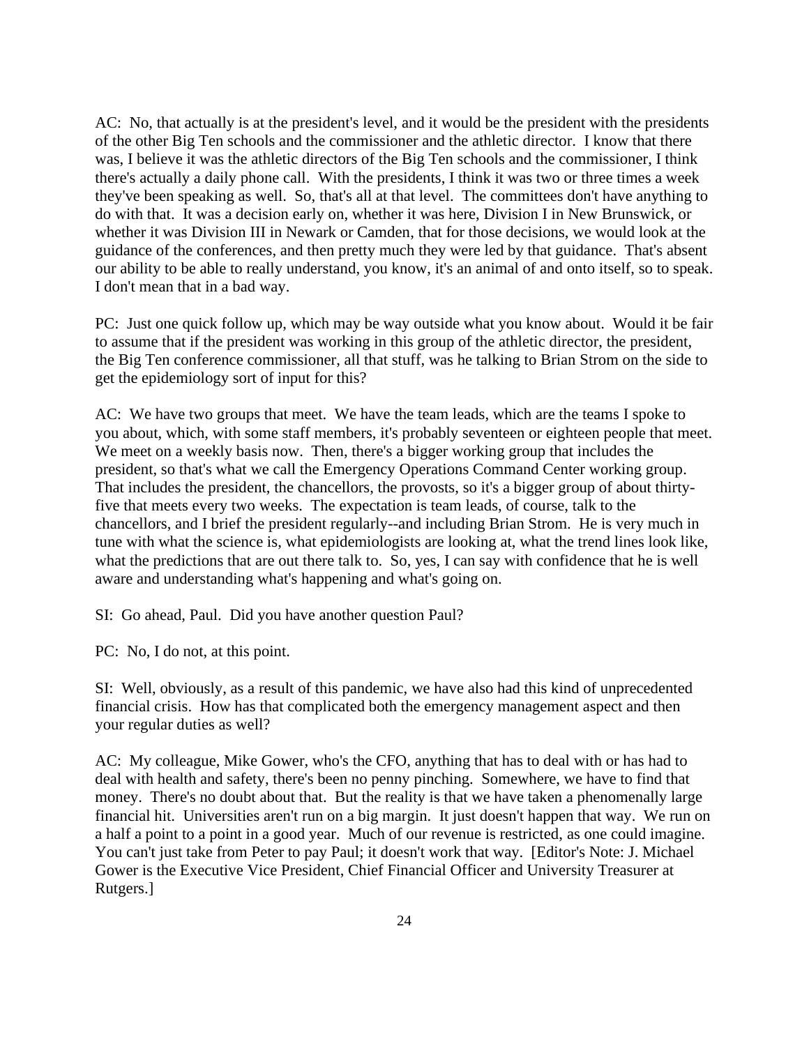AC: No, that actually is at the president's level, and it would be the president with the presidents of the other Big Ten schools and the commissioner and the athletic director. I know that there was, I believe it was the athletic directors of the Big Ten schools and the commissioner, I think there's actually a daily phone call. With the presidents, I think it was two or three times a week they've been speaking as well. So, that's all at that level. The committees don't have anything to do with that. It was a decision early on, whether it was here, Division I in New Brunswick, or whether it was Division III in Newark or Camden, that for those decisions, we would look at the guidance of the conferences, and then pretty much they were led by that guidance. That's absent our ability to be able to really understand, you know, it's an animal of and onto itself, so to speak. I don't mean that in a bad way.

PC: Just one quick follow up, which may be way outside what you know about. Would it be fair to assume that if the president was working in this group of the athletic director, the president, the Big Ten conference commissioner, all that stuff, was he talking to Brian Strom on the side to get the epidemiology sort of input for this?

AC: We have two groups that meet. We have the team leads, which are the teams I spoke to you about, which, with some staff members, it's probably seventeen or eighteen people that meet. We meet on a weekly basis now. Then, there's a bigger working group that includes the president, so that's what we call the Emergency Operations Command Center working group. That includes the president, the chancellors, the provosts, so it's a bigger group of about thirtyfive that meets every two weeks. The expectation is team leads, of course, talk to the chancellors, and I brief the president regularly--and including Brian Strom. He is very much in tune with what the science is, what epidemiologists are looking at, what the trend lines look like, what the predictions that are out there talk to. So, yes, I can say with confidence that he is well aware and understanding what's happening and what's going on.

SI: Go ahead, Paul. Did you have another question Paul?

PC: No, I do not, at this point.

SI: Well, obviously, as a result of this pandemic, we have also had this kind of unprecedented financial crisis. How has that complicated both the emergency management aspect and then your regular duties as well?

AC: My colleague, Mike Gower, who's the CFO, anything that has to deal with or has had to deal with health and safety, there's been no penny pinching. Somewhere, we have to find that money. There's no doubt about that. But the reality is that we have taken a phenomenally large financial hit. Universities aren't run on a big margin. It just doesn't happen that way. We run on a half a point to a point in a good year. Much of our revenue is restricted, as one could imagine. You can't just take from Peter to pay Paul; it doesn't work that way. [Editor's Note: J. Michael Gower is the Executive Vice President, Chief Financial Officer and University Treasurer at Rutgers.]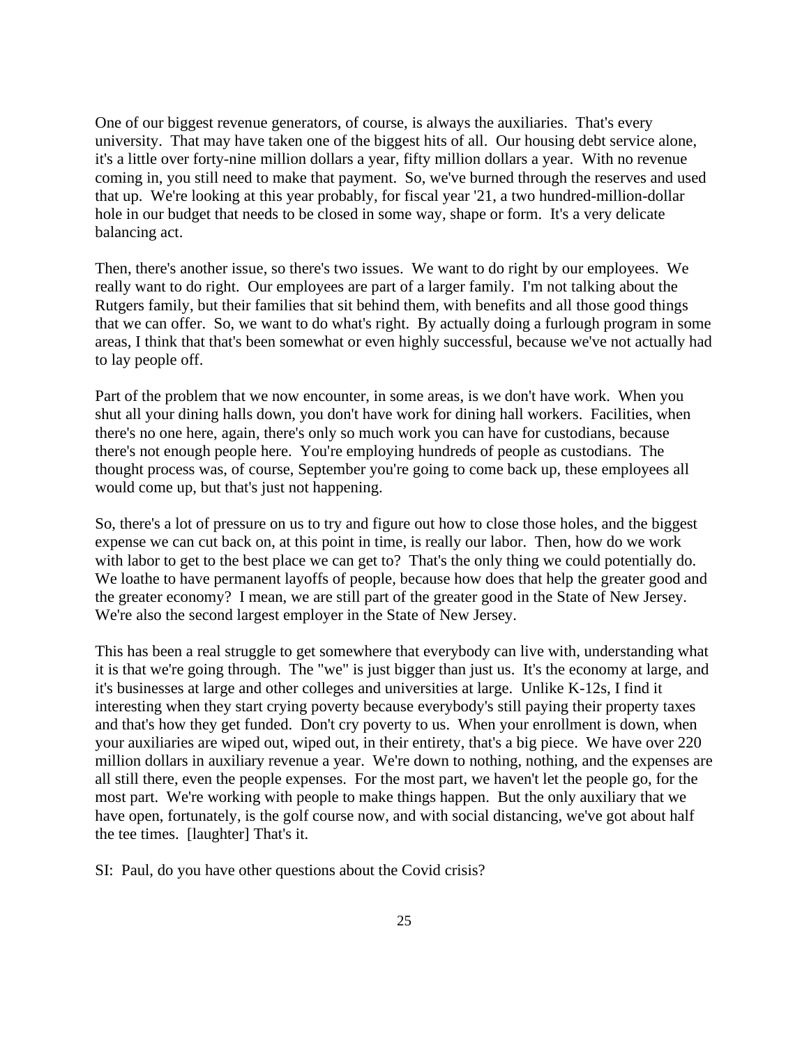One of our biggest revenue generators, of course, is always the auxiliaries. That's every university. That may have taken one of the biggest hits of all. Our housing debt service alone, it's a little over forty-nine million dollars a year, fifty million dollars a year. With no revenue coming in, you still need to make that payment. So, we've burned through the reserves and used that up. We're looking at this year probably, for fiscal year '21, a two hundred-million-dollar hole in our budget that needs to be closed in some way, shape or form. It's a very delicate balancing act.

Then, there's another issue, so there's two issues. We want to do right by our employees. We really want to do right. Our employees are part of a larger family. I'm not talking about the Rutgers family, but their families that sit behind them, with benefits and all those good things that we can offer. So, we want to do what's right. By actually doing a furlough program in some areas, I think that that's been somewhat or even highly successful, because we've not actually had to lay people off.

Part of the problem that we now encounter, in some areas, is we don't have work. When you shut all your dining halls down, you don't have work for dining hall workers. Facilities, when there's no one here, again, there's only so much work you can have for custodians, because there's not enough people here. You're employing hundreds of people as custodians. The thought process was, of course, September you're going to come back up, these employees all would come up, but that's just not happening.

So, there's a lot of pressure on us to try and figure out how to close those holes, and the biggest expense we can cut back on, at this point in time, is really our labor. Then, how do we work with labor to get to the best place we can get to? That's the only thing we could potentially do. We loathe to have permanent layoffs of people, because how does that help the greater good and the greater economy? I mean, we are still part of the greater good in the State of New Jersey. We're also the second largest employer in the State of New Jersey.

This has been a real struggle to get somewhere that everybody can live with, understanding what it is that we're going through. The "we" is just bigger than just us. It's the economy at large, and it's businesses at large and other colleges and universities at large. Unlike K-12s, I find it interesting when they start crying poverty because everybody's still paying their property taxes and that's how they get funded. Don't cry poverty to us. When your enrollment is down, when your auxiliaries are wiped out, wiped out, in their entirety, that's a big piece. We have over 220 million dollars in auxiliary revenue a year. We're down to nothing, nothing, and the expenses are all still there, even the people expenses. For the most part, we haven't let the people go, for the most part. We're working with people to make things happen. But the only auxiliary that we have open, fortunately, is the golf course now, and with social distancing, we've got about half the tee times. [laughter] That's it.

SI: Paul, do you have other questions about the Covid crisis?